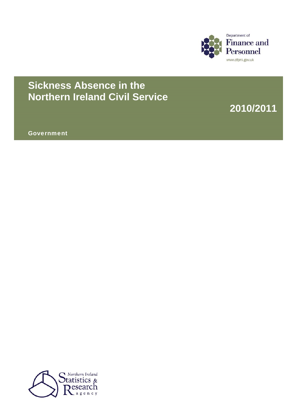

# **Sickness Absence in the Northern Ireland Civil Service**

**2010/2011** 

Government

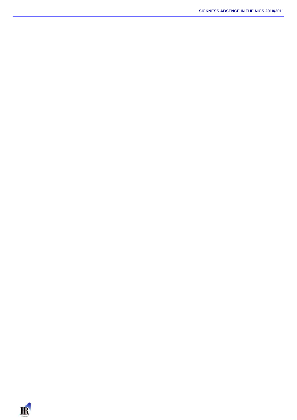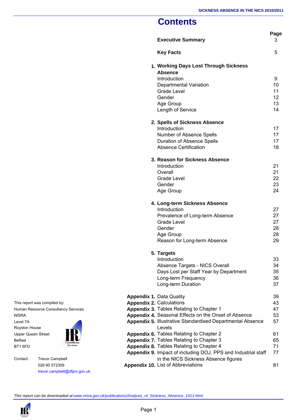# **Contents**

<span id="page-2-0"></span>

|                                     |                                                                    | <b>Executive Summary</b>                                                                              | Page<br>3       |
|-------------------------------------|--------------------------------------------------------------------|-------------------------------------------------------------------------------------------------------|-----------------|
|                                     |                                                                    | <b>Key Facts</b>                                                                                      | 5               |
|                                     |                                                                    | 1. Working Days Lost Through Sickness<br><b>Absence</b>                                               |                 |
|                                     |                                                                    | Introduction                                                                                          | 9               |
|                                     |                                                                    | Departmental Variation                                                                                | 10 <sup>°</sup> |
|                                     |                                                                    | Grade Level                                                                                           | 11              |
|                                     |                                                                    | Gender                                                                                                | 12              |
|                                     |                                                                    | Age Group<br>Length of Service                                                                        | 13<br>14        |
|                                     |                                                                    | 2. Spells of Sickness Absence                                                                         |                 |
|                                     |                                                                    | Introduction                                                                                          | 17              |
|                                     |                                                                    | Number of Absence Spells                                                                              | 17              |
|                                     |                                                                    | <b>Duration of Absence Spells</b>                                                                     | 17              |
|                                     |                                                                    | <b>Absence Certification</b>                                                                          | 18              |
|                                     |                                                                    | 3. Reason for Sickness Absence                                                                        |                 |
|                                     |                                                                    | Introduction                                                                                          | 21              |
|                                     |                                                                    | Overall<br>Grade Level                                                                                | 21<br>22        |
|                                     |                                                                    | Gender                                                                                                | 23              |
|                                     |                                                                    | Age Group                                                                                             | 24              |
|                                     |                                                                    | 4. Long-term Sickness Absence                                                                         |                 |
|                                     |                                                                    | Introduction                                                                                          | 27              |
|                                     |                                                                    | Prevalence of Long-term Absence                                                                       | 27              |
|                                     |                                                                    | Grade Level                                                                                           | 27              |
|                                     |                                                                    | Gender                                                                                                | 28<br>28        |
|                                     |                                                                    | Age Group<br>Reason for Long-term Absence                                                             | 29              |
|                                     | 5. Targets                                                         |                                                                                                       |                 |
|                                     |                                                                    | Introduction                                                                                          | 33              |
|                                     |                                                                    | Absence Targets - NICS Overall                                                                        | 34              |
|                                     |                                                                    | Days Lost per Staff Year by Department                                                                | 35              |
|                                     |                                                                    | Long-term Frequency                                                                                   | 36              |
|                                     |                                                                    | Long-term Duration                                                                                    | 37              |
| This report was compiled by:        | <b>Appendix 1. Data Quality</b><br><b>Appendix 2. Calculations</b> |                                                                                                       | 39<br>43        |
| Human Resource Consultancy Services |                                                                    | Appendix 3. Tables Relating to Chapter 1                                                              | 47              |
| NISRA                               |                                                                    | Appendix 4. Seasonal Effects on the Onset of Absence                                                  | 53              |
| Level 7A                            |                                                                    | <b>Appendix 5. Illustrative Standardised Departmental Absence</b>                                     | 57              |
| Royston House                       |                                                                    | Levels                                                                                                |                 |
| Upper Queen Street                  |                                                                    | Appendix 6. Tables Relating to Chapter 2                                                              | 61              |
| Belfast                             |                                                                    | Appendix 7. Tables Relating to Chapter 3                                                              | 65              |
| Services<br>BT1 6FD                 |                                                                    | Appendix 8. Tables Relating to Chapter 4                                                              | 71              |
| Contact:<br><b>Trevor Campbell</b>  |                                                                    | Appendix 9. Impact of including DOJ, PPS and Industrial staff<br>in the NICS Sickness Absence figures | 77              |
| 028 90 572359                       |                                                                    | Appendix 10. List of Abbreviations                                                                    | 81              |

Contact: Trevor Campbell trevor.campbell@dfpni.gov.uk

*This report can be downloaded at www.nisra.gov.uk/publications/Analysis\_of\_Sickness\_Absence\_1011.html* 



BT1 6FD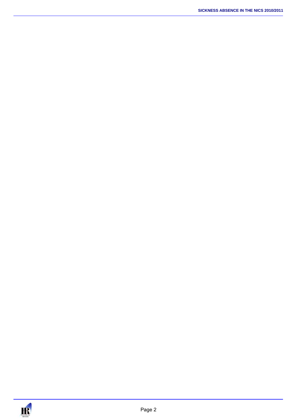<span id="page-3-0"></span>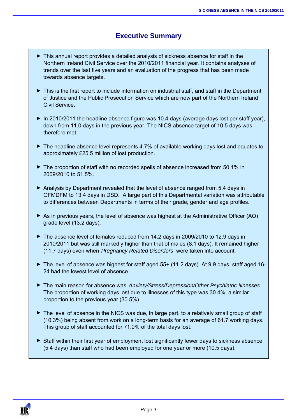# **Executive Summary**

- ► This annual report provides a detailed analysis of sickness absence for staff in the Northern Ireland Civil Service over the 2010/2011 financial year. It contains analyses of trends over the last five years and an evaluation of the progress that has been made towards absence targets.
- ► This is the first report to include information on industrial staff, and staff in the Department of Justice and the Public Prosecution Service which are now part of the Northern Ireland Civil Service.
- $\blacktriangleright$  In 2010/2011 the headline absence figure was 10.4 days (average days lost per staff year), down from 11.0 days in the previous year. The NICS absence target of 10.5 days was therefore met.
- ► The headline absence level represents 4.7% of available working days lost and equates to approximately £25.5 million of lost production.
- ► The proportion of staff with no recorded spells of absence increased from 50.1% in 2009/2010 to 51.5%.
- ► Analysis by Department revealed that the level of absence ranged from 5.4 days in OFMDFM to 13.4 days in DSD. A large part of this Departmental variation was attributable to differences between Departments in terms of their grade, gender and age profiles.
- ► As in previous years, the level of absence was highest at the Administrative Officer (AO) grade level (13.2 days).
- ► The absence level of females reduced from 14.2 days in 2009/2010 to 12.9 days in 2010/2011 but was still markedly higher than that of males (8.1 days). It remained higher (11.7 days) even when *Pregnancy Related Disorders* were taken into account.
- ► The level of absence was highest for staff aged 55+ (11.2 days). At 9.9 days, staff aged 16-24 had the lowest level of absence.
- ► The main reason for absence was *Anxiety/Stress/Depression/Other Psychiatric Illnesses* . The proportion of working days lost due to illnesses of this type was 30.4%, a similar proportion to the previous year (30.5%).
- ► The level of absence in the NICS was due, in large part, to a relatively small group of staff (10.3%) being absent from work on a long-term basis for an average of 61.7 working days. This group of staff accounted for 71.0% of the total days lost.
- ► Staff within their first year of employment lost significantly fewer days to sickness absence (5.4 days) than staff who had been employed for one year or more (10.5 days).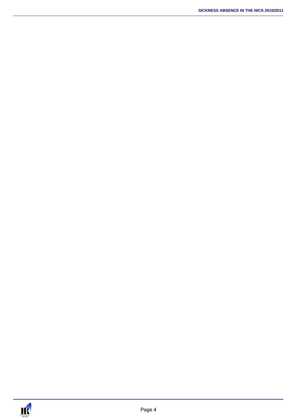<span id="page-5-0"></span>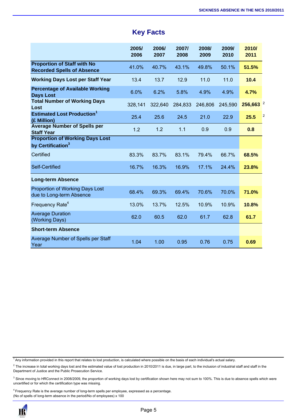|                                                                         | 2005/<br>2006 | 2006/<br>2007 | 2007/<br>2008 | 2008/<br>2009 | 2009/<br>2010 | 2010/<br>2011          |                         |
|-------------------------------------------------------------------------|---------------|---------------|---------------|---------------|---------------|------------------------|-------------------------|
| <b>Proportion of Staff with No</b><br><b>Recorded Spells of Absence</b> | 41.0%         | 40.7%         | 43.1%         | 49.8%         | 50.1%         | 51.5%                  |                         |
| <b>Working Days Lost per Staff Year</b>                                 | 13.4          | 13.7          | 12.9          | 11.0          | 11.0          | 10.4                   |                         |
| <b>Percentage of Available Working</b><br><b>Days Lost</b>              | 6.0%          | 6.2%          | 5.8%          | 4.9%          | 4.9%          | 4.7%                   |                         |
| <b>Total Number of Working Days</b><br>Lost                             | 328,141       | 322,640       | 284,833       | 246,806       | 245,590       | $256,663$ <sup>2</sup> |                         |
| <b>Estimated Lost Production<sup>1</sup></b><br>(£ Million)             | 25.4          | 25.6          | 24.5          | 21.0          | 22.9          | 25.5                   | $\overline{\mathbf{c}}$ |
| <b>Average Number of Spells per</b><br><b>Staff Year</b>                | 1.2           | 1.2           | 1.1           | 0.9           | 0.9           | 0.8                    |                         |
| <b>Proportion of Working Days Lost</b><br>by Certification <sup>3</sup> |               |               |               |               |               |                        |                         |
| Certified                                                               | 83.3%         | 83.7%         | 83.1%         | 79.4%         | 66.7%         | 68.5%                  |                         |
| Self-Certified                                                          | 16.7%         | 16.3%         | 16.9%         | 17.1%         | 24.4%         | 23.8%                  |                         |
| <b>Long-term Absence</b>                                                |               |               |               |               |               |                        |                         |
| Proportion of Working Days Lost<br>due to Long-term Absence             | 68.4%         | 69.3%         | 69.4%         | 70.6%         | 70.0%         | 71.0%                  |                         |
| Frequency Rate <sup>4</sup>                                             | 13.0%         | 13.7%         | 12.5%         | 10.9%         | 10.9%         | 10.8%                  |                         |
| <b>Average Duration</b><br>(Working Days)                               | 62.0          | 60.5          | 62.0          | 61.7          | 62.8          | 61.7                   |                         |
| <b>Short-term Absence</b>                                               |               |               |               |               |               |                        |                         |
| Average Number of Spells per Staff<br>Year                              | 1.04          | 1.00          | 0.95          | 0.76          | 0.75          | 0.69                   |                         |

# **Key Facts**

 $1/1$  Any information provided in this report that relates to lost production, is calculated where possible on the basis of each individual's actual salary.

 $^2$  The increase in total working days lost and the estimated value of lost production in 2010/2011 is due, in large part, to the inclusion of industrial staff and staff in the Department of Justice and the Public Prosecution Service.

<sup>3</sup> Since moving to HRConnect in 2008/2009, the proportion of working days lost by certification shown here may not sum to 100%. This is due to absence spells which were uncertified or for which the certification type was missing.

4 Frequency Rate is the average number of long-term spells per employee, expressed as a percentage. (No of spells of long-term absence in the period/No of employees) x 100

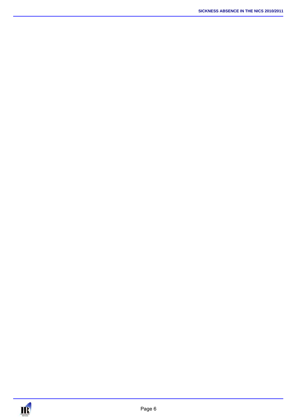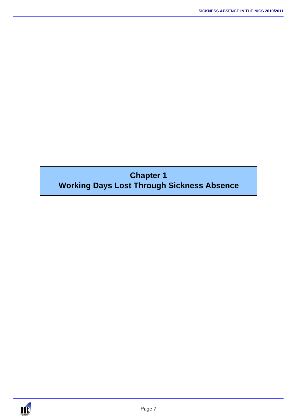# **[Chapter 1](#page-2-0) Working Days Lost Through Sickness Absence**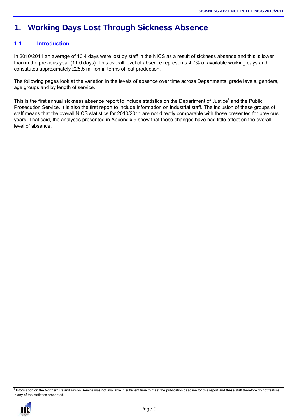# <span id="page-10-0"></span>**1. Working Days Lost Through Sickness Absence**

# **1.1 Introduction**

In 2010/2011 an average of 10.4 days were lost by staff in the NICS as a result of sickness absence and this is lower than in the previous year (11.0 days). This overall level of absence represents 4.7% of available working days and constitutes approximately £25.5 million in terms of lost production.

The following pages look at the variation in the levels of absence over time across Departments, grade levels, genders, age groups and by length of service.

This is the first annual sickness absence report to include statistics on the Department of Justice<sup>1</sup> and the Public Prosecution Service. It is also the first report to include information on industrial staff. The inclusion of these groups of staff means that the overall NICS statistics for 2010/2011 are not directly comparable with those presented for previous years. That said, the analyses presented in Appendix 9 show that these changes have had little effect on the overall level of absence.

<sup>1</sup> Information on the Northern Ireland Prison Service was not available in sufficient time to meet the publication deadline for this report and these staff therefore do not feature in any of the statistics presented.

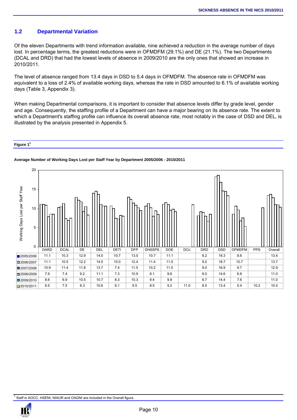# <span id="page-11-0"></span>**1.2 Departmental Variation**

Of the eleven Departments with trend information available, nine achieved a reduction in the average number of days lost. In percentage terms, the greatest reductions were in OFMDFM (29.1%) and DE (21.1%). The two Departments (DCAL and DRD) that had the lowest levels of absence in 2009/2010 are the only ones that showed an increase in 2010/2011.

The level of absence ranged from 13.4 days in DSD to 5.4 days in OFMDFM. The absence rate in OFMDFM was equivalent to a loss of 2.4% of available working days, whereas the rate in DSD amounted to 6.1% of available working days (Table 3, Appendix 3).

When making Departmental comparisons, it is important to consider that absence levels differ by grade level, gender and age. Consequently, the staffing profile of a Department can have a major bearing on its absence rate. The extent to which a Department's staffing profile can influence its overall absence rate, most notably in the case of DSD and DEL, is illustrated by the analysis presented in Appendix 5.

### **Figure 11**



#### **Average Number of Working Days Lost per Staff Year by Department 2005/2006 - 2010/2011**

<sup>1</sup> Staff in AOCC, HSENI, NIAUR and OAGNI are included in the Overall figure.

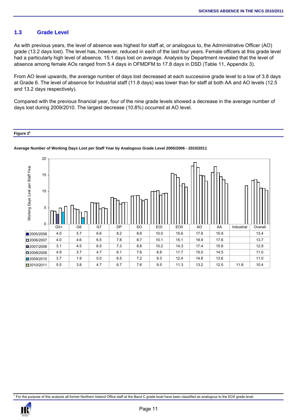## <span id="page-12-0"></span>**1.3 Grade Level**

As with previous years, the level of absence was highest for staff at, or analogous to, the Administrative Officer (AO) grade (13.2 days lost). The level has, however, reduced in each of the last four years. Female officers at this grade level had a particularly high level of absence, 15.1 days lost on average. Analysis by Department revealed that the level of absence among female AOs ranged from 5.4 days in OFMDFM to 17.8 days in DSD (Table 11, Appendix 3).

From AO level upwards, the average number of days lost decreased at each successive grade level to a low of 3.8 days at Grade 6. The level of absence for Industrial staff (11.8 days) was lower than for staff at both AA and AO levels (12.5 and 13.2 days respectively).

Compared with the previous financial year, four of the nine grade levels showed a decrease in the average number of days lost during 2009/2010. The largest decrease (10.8%) occurred at AO level.

#### **Figure 21**



#### **Average Number of Working Days Lost per Staff Year by Analogous Grade Level 2005/2006 - 2010/2011**

<sup>1</sup> For the purpose of this analysis all former Northern Ireland Office staff at the Band C grade level have been classified as analogous to the EOII grade level.

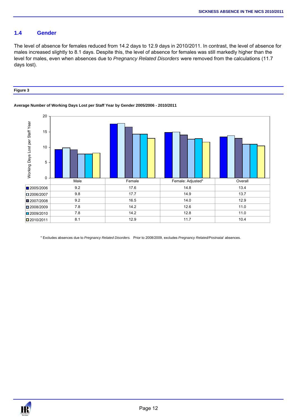## <span id="page-13-0"></span>**1.4 Gender**

The level of absence for females reduced from 14.2 days to 12.9 days in 2010/2011. In contrast, the level of absence for males increased slightly to 8.1 days. Despite this, the level of absence for females was still markedly higher than the level for males, even when absences due to *Pregnancy Related Disorders* were removed from the calculations (11.7 days lost).



#### **Average Number of Working Days Lost per Staff Year by Gender 2005/2006 - 2010/2011**



\* Excludes absences due to *Pregnancy Related Disorders.* Prior to 2008/2009, excludes *Pregnancy Related/Postnatal* absences.

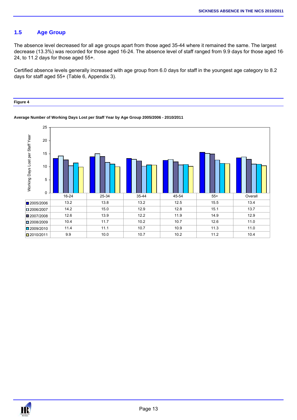# <span id="page-14-0"></span>**1.5 Age Group**

The absence level decreased for all age groups apart from those aged 35-44 where it remained the same. The largest decrease (13.3%) was recorded for those aged 16-24. The absence level of staff ranged from 9.9 days for those aged 16 24, to 11.2 days for those aged 55+.

Certified absence levels generally increased with age group from 6.0 days for staff in the youngest age category to 8.2 days for staff aged 55+ (Table 6, Appendix 3).

#### **Figure 4**



#### **Average Number of Working Days Lost per Staff Year by Age Group 2005/2006 - 2010/2011**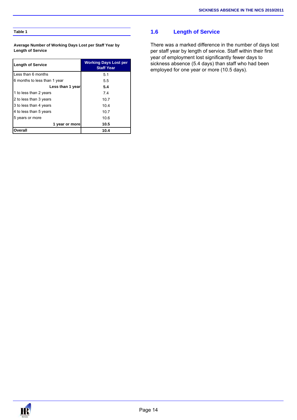| <b>Length of Service</b>     | <b>Working Days Lost per</b><br><b>Staff Year</b> |  |  |  |
|------------------------------|---------------------------------------------------|--|--|--|
| Less than 6 months           | 5.1                                               |  |  |  |
| 6 months to less than 1 year | 5.5                                               |  |  |  |
| Less than 1 year             | 5.4                                               |  |  |  |
| 1 to less than 2 years       | 74                                                |  |  |  |
| 2 to less than 3 years       | 10.7                                              |  |  |  |
| 3 to less than 4 years       | 10.4                                              |  |  |  |
| 4 to less than 5 years       | 10.7                                              |  |  |  |
| 5 years or more              | 10.6                                              |  |  |  |
| 1 year or more               | 10.5                                              |  |  |  |
| Overall                      | 10.4                                              |  |  |  |

# Table 1 **1.6** Length of Service

**Average Number of Working Days Lost per Staff Year by** There was a marked difference in the number of days lost Length of Service **Per staff year by length of service.** Staff within their first year of employment lost significantly fewer days to sickness absence (5.4 days) than staff who had been employed for one year or more (10.5 days).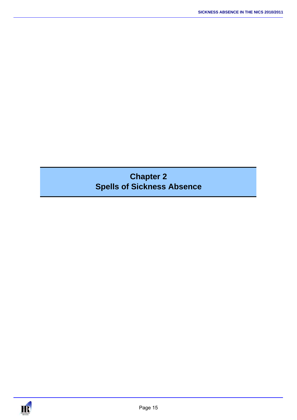# **[Chapter 2](#page-3-0) Spells of Sickness Absence**

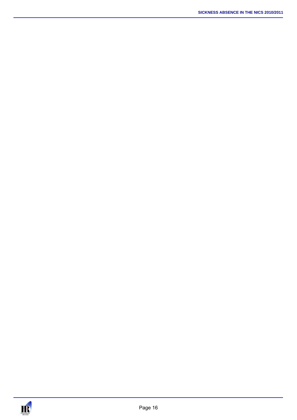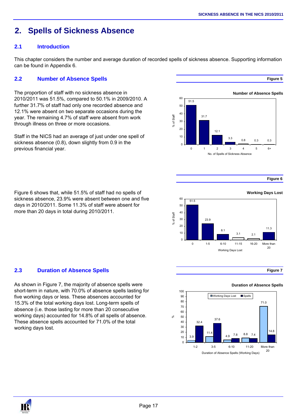# <span id="page-18-0"></span>**2. Spells of Sickness Absence**

# **2.1 Introduction**

This chapter considers the number and average duration of recorded spells of sickness absence. Supporting information can be found in Appendix 6.

# **2.2 Number of Absence Spells**

The proportion of staff with no sickness absence in 2010/2011 was 51.5%, compared to 50.1% in 2009/2010. A further 31.7% of staff had only one recorded absence and 12.1% were absent on two separate occasions during the year. The remaining 4.7% of staff were absent from work through illness on three or more occasions.

Staff in the NICS had an average of just under one spell of sickness absence (0.8), down slightly from 0.9 in the previous financial year.

Figure 6 shows that, while 51.5% of staff had no spells of sickness absence, 23.9% were absent between one and five days in 2010/2011. Some 11.3% of staff were absent for

60  $51.5$ 50 40 % of Staff 31.7 % of Staff 30 20 12.1 10 3.3 0.8 0.3 0.3  $\overline{0}$ 0 1 2 3 4 5 6+ No. of Spells of Sickness Absence

**Figure 6** 

**Figure 7** 

**Figure 5** 

**Number of Absence Spells** 



## **2.3 Duration of Absence Spells**

more than 20 days in total during 2010/2011.

As shown in Figure 7, the majority of absence spells were short-term in nature, with 70.0% of absence spells lasting for five working days or less. These absences accounted for 15.3% of the total working days lost. Long-term spells of absence (i.e. those lasting for more than 20 consecutive working days) accounted for 14.8% of all spells of absence. These absence spells accounted for 71.0% of the total working days lost.

#### **Duration of Absence Spells**



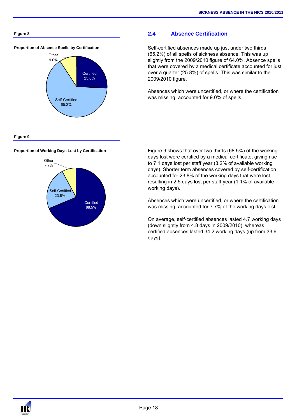<span id="page-19-0"></span>

**Proportion of Absence Spells by Certification** 



#### **Figure 9**

#### **Proportion of Working Days Lost by Certification**



# **2.4 Absence Certification**

Self-certified absences made up just under two thirds (65.2%) of all spells of sickness absence. This was up slightly from the 2009/2010 figure of 64.0%. Absence spells that were covered by a medical certificate accounted for just over a quarter (25.8%) of spells. This was similar to the 2009/2010 figure.

Absences which were uncertified, or where the certification was missing, accounted for 9.0% of spells.

Figure 9 shows that over two thirds (68.5%) of the working days lost were certified by a medical certificate, giving rise to 7.1 days lost per staff year (3.2% of available working days). Shorter term absences covered by self-certification accounted for 23.8% of the working days that were lost, resulting in 2.5 days lost per staff year (1.1% of available working days).

Absences which were uncertified, or where the certification was missing, accounted for 7.7% of the working days lost.

On average, self-certified absences lasted 4.7 working days (down slightly from 4.8 days in 2009/2010), whereas certified absences lasted 34.2 working days (up from 33.6 days).

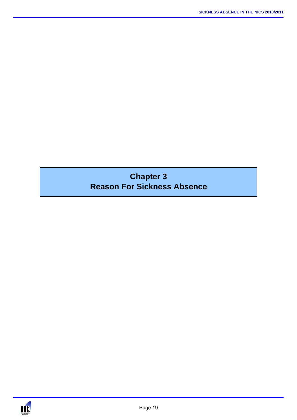# **Chapter 3 Reason For Sickness Absence**

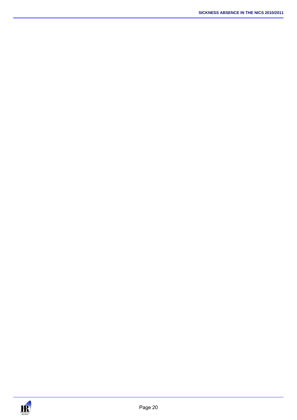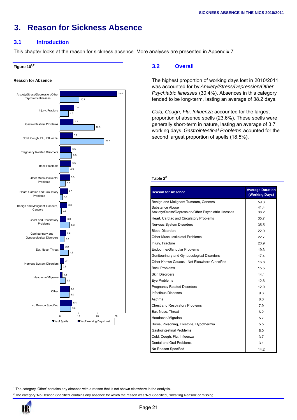# **3. Reason for Sickness Absence**

# **3.1 Introduction**

This chapter looks at the reason for sickness absence. More analyses are presented in Appendix 7.

### **Figure 101,2**

#### **Reason for Absence**



# **3.2 Overall**

The highest proportion of working days lost in 2010/2011 was accounted for by *Anxiety/Stress/Depression/Other*  30.4 *Psychiatric Illnesses* (30.4%). Absences in this category tended to be long-term, lasting an average of 38.2 days.

*Cold, Cough, Flu, Influenza* accounted for the largest proportion of absence spells (23.6%). These spells were generally short-term in nature, lasting an average of 3.7 working days. *Gastrointestinal Problems* acounted for the second largest proportion of spells (18.5%).

### Table 2<sup>2</sup>

| <b>Reason for Absence</b>                             | <b>Average Duration</b><br>(Working Days) |
|-------------------------------------------------------|-------------------------------------------|
| Benign and Malignant Tumours, Cancers                 | 59.3                                      |
| <b>Substance Abuse</b>                                | 41.4                                      |
| Anxiety/Stress/Depression/Other Psychiatric Illnesses | 38.2                                      |
| Heart, Cardiac and Circulatory Problems               | 35.7                                      |
| Nervous System Disorders                              | 35.5                                      |
| <b>Blood Disorders</b>                                | 22.9                                      |
| Other Musculoskeletal Problems                        | 22.7                                      |
| Injury, Fracture                                      | 20.9                                      |
| <b>Endocrine/Glandular Problems</b>                   | 19.3                                      |
| Genitourinary and Gynaecological Disorders            | 17.4                                      |
| Other Known Causes - Not Elsewhere Classified         | 16.8                                      |
| <b>Back Problems</b>                                  | 15.5                                      |
| <b>Skin Disorders</b>                                 | 14.1                                      |
| <b>Eve Problems</b>                                   | 12.6                                      |
| <b>Pregnancy Related Disorders</b>                    | 12.0                                      |
| <b>Infectious Diseases</b>                            | 9.3                                       |
| Asthma                                                | 8.0                                       |
| <b>Chest and Respiratory Problems</b>                 | 7.9                                       |
| Ear, Nose, Throat                                     | 6.2                                       |
| Headache/Migraine                                     | 5.7                                       |
| Burns, Poisoning, Frostbite, Hypothermia              | 5.5                                       |
| <b>Gastrointestinal Problems</b>                      | 5.0                                       |
| Cold, Cough, Flu, Influenza                           | 3.7                                       |
| Dental and Oral Problems                              | 3.1                                       |
| No Reason Specified                                   | 14.2                                      |

<sup>1</sup> The category 'Other' contains any absence with a reason that is not shown elsewhere in the analysis.

<sup>2</sup> The category 'No Reason Specified' contains any absence for which the reason was 'Not Specified', 'Awaiting Reason' or missing.

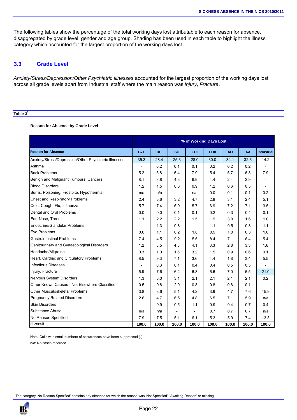The following tables show the percentage of the total working days lost attributable to each reason for absence, disaggregated by grade level, gender and age group. Shading has been used in each table to highlight the illness category which accounted for the largest proportion of the working days lost.

## **3.3 Grade Level**

*Anxiety/Stress/Depression/Other Psychiatric Illnesses* accounted for the largest proportion of the working days lost across all grade levels apart from Industrial staff where the main reason was *Injury, Fracture* .

#### $T$ able  $3<sup>1</sup>$

#### **Reason for Absence by Grade Level**

|                                                       | % of Working Days Lost   |           |                          |                          |             |           |       |                   |
|-------------------------------------------------------|--------------------------|-----------|--------------------------|--------------------------|-------------|-----------|-------|-------------------|
| <b>Reason for Absence</b>                             | $G7+$                    | <b>DP</b> | <b>SO</b>                | <b>EOI</b>               | <b>EOII</b> | <b>AO</b> | AA    | <b>Industrial</b> |
| Anxiety/Stress/Depression/Other Psychiatric Illnesses | 35.3                     | 28.4      | 25.3                     | 28.0                     | 30.0        | 34.1      | 32.6  | 14.2              |
| Asthma                                                | $\overline{\phantom{a}}$ | 0.2       | 0.1                      | 0.1                      | 0.2         | 0.2       | 0.2   |                   |
| <b>Back Problems</b>                                  | 5.2                      | 3.8       | 5.4                      | 7.9                      | 5.4         | 5.7       | 6.3   | 7.9               |
| Benign and Malignant Tumours, Cancers                 | 8.1                      | 3.8       | 4.3                      | 6.9                      | 4.4         | 2.4       | 2.9   |                   |
| <b>Blood Disorders</b>                                | 1.2                      | 1.5       | 0.6                      | 0.9                      | 1.2         | 0.6       | 0.5   |                   |
| Burns, Poisoning, Frostbite, Hypothermia              | n/a                      | n/a       | $\overline{\phantom{0}}$ | n/a                      | 0.0         | 0.1       | 0.1   | 0.2               |
| <b>Chest and Respiratory Problems</b>                 | 2.4                      | 3.6       | 3.2                      | 4.7                      | 2.9         | 3.1       | 2.4   | 5.1               |
| Cold, Cough, Flu, Influenza                           | 5.7                      | 7.4       | 6.9                      | 5.7                      | 6.9         | 7.2       | 7.1   | 3.5               |
| Dental and Oral Problems                              | 0.0                      | 0.0       | 0.1                      | 0.1                      | 0.2         | 0.3       | 0.4   | 0.1               |
| Ear, Nose, Throat                                     |                          | 2.2       | 2.2                      | 1.5                      | 1.9         | 3.0       | 1.6   | 1.0               |
| Endocrine/Glandular Problems                          |                          | 1.3       | 0.8                      | $\overline{\phantom{a}}$ | 1.1         | 0.5       | 0.3   | 1.1               |
| Eye Problems                                          |                          | 1.1       | 0.2                      | 1.0                      | 0.9         | 1.0       | 0.3   | 1.0               |
| <b>Gastrointestinal Problems</b>                      |                          | 4.5       | 9.2                      | 5.6                      | 8.4         | 7.1       | 6.4   | 5.4               |
| Genitourinary and Gynaecological Disorders            |                          | 3.5       | 4.3                      | 4.1                      | 3.3         | 2.8       | 3.3   | 1.6               |
| Headache/Migraine                                     |                          | 1.0       | 1.6                      | 3.2                      | 1.5         | 0.9       | 0.6   | 0.1               |
| Heart, Cardiac and Circulatory Problems               |                          | 9.3       | 7.1                      | 3.6                      | 4.4         | 1.8       | 3.4   | 5.5               |
| <b>Infectious Diseases</b>                            | $\overline{a}$           | 0.3       | 0.1                      | 0.4                      | 0.4         | 0.5       | 0.5   |                   |
| Injury, Fracture                                      | 5.9                      | 7.6       | 6.2                      | 6.8                      | 6.6         | 7.0       | 6.5   | 21.0              |
| Nervous System Disorders                              | 1.3                      | 3.0       | 3.1                      | 2.1                      | 2.1         | 2.1       | 2.1   | 0.2               |
| Other Known Causes - Not Elsewhere Classified         | 0.5                      | 0.8       | 2.0                      | 0.8                      | 0.8         | 0.8       | 0.1   |                   |
| <b>Other Musculoskeletal Problems</b>                 | 3.8                      | 3.6       | 5.1                      | 4.2                      | 3.9         | 4.7       | 7.6   | 15.9              |
| <b>Pregnancy Related Disorders</b>                    | 2.6                      | 4.7       | 6.5                      | 4.8                      | 6.5         | 7.1       | 5.9   | n/a               |
| <b>Skin Disorders</b>                                 | $\overline{a}$           | 0.9       | 0.5                      | 1.1                      | 0.9         | 0.4       | 0.7   | 0.4               |
| Substance Abuse                                       | n/a                      | n/a       | $\overline{\phantom{0}}$ | $\overline{\phantom{a}}$ | 0.7         | 0.7       | 0.7   | n/a               |
| No Reason Specified                                   | 7.9                      | 7.5       | 5.1                      | 6.1                      | 5.3         | 5.9       | 7.4   | 13.3              |
| Overall                                               | 100.0                    | 100.0     | 100.0                    | 100.0                    | 100.0       | 100.0     | 100.0 | 100.0             |

Note: Cells with small numbers of occurrences have been suppressed (-)

n/a: No cases recorded

<sup>1</sup> The category 'No Reason Specified' contains any absence for which the reason was 'Not Specified', 'Awaiting Reason' or missing.

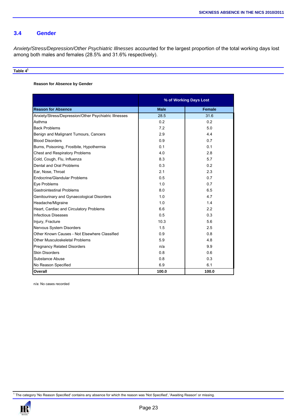# **3.4 Gender**

*Anxiety/Stress/Depression/Other Psychiatric Illnesses* accounted for the largest proportion of the total working days lost among both males and females (28.5% and 31.6% respectively).

### **Table 41**

#### **Reason for Absence by Gender**

|                                                       |             | % of Working Days Lost |
|-------------------------------------------------------|-------------|------------------------|
| <b>Reason for Absence</b>                             | <b>Male</b> | <b>Female</b>          |
| Anxiety/Stress/Depression/Other Psychiatric Illnesses | 28.5        | 31.6                   |
| Asthma                                                | 0.2         | 0.2                    |
| <b>Back Problems</b>                                  | 7.2         | 5.0                    |
| Benign and Malignant Tumours, Cancers                 | 2.9         | 4.4                    |
| <b>Blood Disorders</b>                                | 0.9         | 0.7                    |
| Burns, Poisoning, Frostbite, Hypothermia              | 0.1         | 0.1                    |
| <b>Chest and Respiratory Problems</b>                 | 4.0         | 2.8                    |
| Cold, Cough, Flu, Influenza                           | 8.3         | 5.7                    |
| Dental and Oral Problems                              | 0.3         | 0.2                    |
| Ear, Nose, Throat                                     | 2.1         | 2.3                    |
| Endocrine/Glandular Problems                          | 0.5         | 0.7                    |
| Eye Problems                                          | 1.0         | 0.7                    |
| <b>Gastrointestinal Problems</b>                      | 8.0         | 6.5                    |
| Genitourinary and Gynaecological Disorders            | 1.0         | 4.7                    |
| Headache/Migraine                                     | 1.0         | 1.4                    |
| Heart, Cardiac and Circulatory Problems               | 6.6         | 2.2                    |
| <b>Infectious Diseases</b>                            | 0.5         | 0.3                    |
| Injury, Fracture                                      | 10.3        | 5.6                    |
| Nervous System Disorders                              | 1.5         | 2.5                    |
| Other Known Causes - Not Elsewhere Classified         | 0.9         | 0.8                    |
| <b>Other Musculoskeletal Problems</b>                 | 5.9         | 4.8                    |
| <b>Pregnancy Related Disorders</b>                    | n/a         | 9.9                    |
| <b>Skin Disorders</b>                                 | 0.8         | 0.6                    |
| Substance Abuse                                       | 0.8         | 0.3                    |
| No Reason Specified                                   | 6.9         | 6.1                    |
| Overall                                               | 100.0       | 100.0                  |

n/a: No cases recorded

<sup>1</sup> The category 'No Reason Specified' contains any absence for which the reason was 'Not Specified', 'Awaiting Reason' or missing.

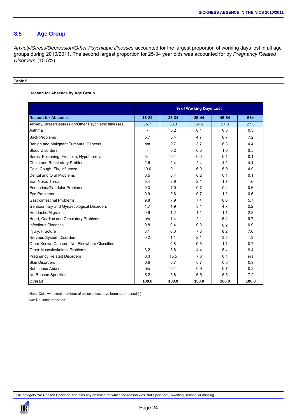## **3.5 Age Group**

*Anxiety/Stress/Depression/Other Psychiatric Illnesses* accounted for the largest proportion of working days lost in all age groups during 2010/2011. The second largest proportion for 25-34 year olds was accounted for by *Pregnancy Related Disorders* (15.5%).

## **Table 51**

#### **Reason for Absence by Age Group**

|                                                       | % of Working Days Lost   |       |           |       |       |  |  |
|-------------------------------------------------------|--------------------------|-------|-----------|-------|-------|--|--|
| <b>Reason for Absence</b>                             | $16 - 24$                | 25-34 | $35 - 44$ | 45-54 | $55+$ |  |  |
| Anxiety/Stress/Depression/Other Psychiatric Illnesses | 35.7                     | 30.3  | 34.6      | 27.8  | 27.3  |  |  |
| Asthma                                                |                          | 0.2   | 0.1       | 0.3   | 0.3   |  |  |
| <b>Back Problems</b>                                  | 5.7                      | 5.4   | 4.7       | 6.7   | 7.2   |  |  |
| Benign and Malignant Tumours, Cancers                 | n/a                      | 0.7   | 3.7       | 6.3   | 4.4   |  |  |
| <b>Blood Disorders</b>                                | $\overline{\phantom{a}}$ | 0.2   | 0.6       | 1.6   | 0.5   |  |  |
| Burns, Poisoning, Frostbite, Hypothermia              | 0.1                      | 0.1   | 0.0       | 0.1   | 0.1   |  |  |
| <b>Chest and Respiratory Problems</b>                 | 2.6                      | 2.4   | 2.4       | 4.2   | 4.4   |  |  |
| Cold, Cough, Flu, Influenza                           | 10.0                     | 9.1   | 6.0       | 5.9   | 4.9   |  |  |
| Dental and Oral Problems                              | 0.5                      | 0.4   | 0.2       | 0.1   | 0.1   |  |  |
| Ear, Nose, Throat                                     | 5.4                      | 2.9   | 2.1       | 1.7   | 1.6   |  |  |
| Endocrine/Glandular Problems                          | 0.3                      | 1.0   | 0.7       | 0.4   | 0.6   |  |  |
| Eye Problems                                          | 0.9                      | 0.6   | 0.7       | 1.2   | 0.6   |  |  |
| <b>Gastrointestinal Problems</b>                      | 9.8                      | 7.9   | 7.4       | 6.6   | 5.7   |  |  |
| Genitourinary and Gynaecological Disorders            | 1.7                      | 1.9   | 3.1       | 4.7   | 2.2   |  |  |
| Headache/Migraine                                     | 0.9                      | 1.2   | 1.1       | 1.1   | 2.2   |  |  |
| Heart, Cardiac and Circulatory Problems               | n/a                      | 1.4   | 2.1       | 5.4   | 9.7   |  |  |
| <b>Infectious Diseases</b>                            | 0.8                      | 0.4   | 0.3       | 0.2   | 0.9   |  |  |
| Injury, Fracture                                      | 8.1                      | 6.0   | 7.8       | 8.2   | 7.6   |  |  |
| Nervous System Disorders                              | 0.2                      | 1.1   | 2.1       | 3.5   | 1.3   |  |  |
| Other Known Causes - Not Elsewhere Classified         |                          | 0.8   | 0.6       | 1.1   | 0.7   |  |  |
| <b>Other Musculoskeletal Problems</b>                 | 3.2                      | 3.8   | 4.4       | 5.4   | 9.4   |  |  |
| <b>Pregnancy Related Disorders</b>                    | 8.3                      | 15.5  | 7.3       | 0.1   | n/a   |  |  |
| <b>Skin Disorders</b>                                 | 0.6                      | 0.7   | 0.7       | 0.5   | 0.9   |  |  |
| Substance Abuse                                       | n/a                      | 0.1   | 0.9       | 0.7   | 0.2   |  |  |
| No Reason Specified                                   | 5.2                      | 5.8   | 6.5       | 6.5   | 7.2   |  |  |
| Overall                                               | 100.0                    | 100.0 | 100.0     | 100.0 | 100.0 |  |  |

Note: Cells with small numbers of occurrences have been suppressed (-)

n/a: No cases recorded

<sup>1</sup> The category 'No Reason Specified' contains any absence for which the reason was 'Not Specified', 'Awaiting Reason' or missing.

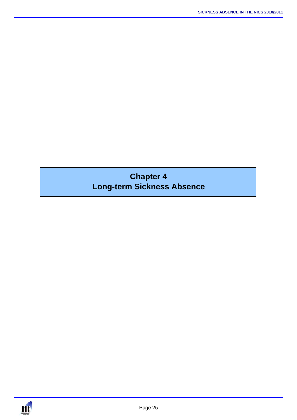# **[Chapter 4](#page-5-0) Long-term Sickness Absence**

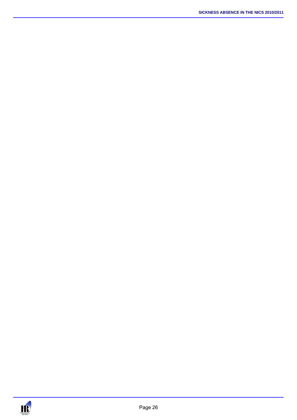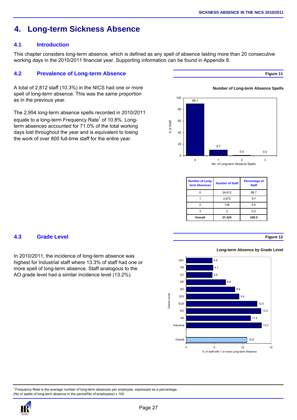**Number of Long-term Absence Spells** 

# **4. Long-term Sickness Absence**

## **4.1 Introduction**

This chapter considers long-term absence, which is defined as any spell of absence lasting more than 20 consecutive working days in the 2010/2011 financial year. Supporting information can be found in Appendix 8.

## **4.2** Prevalence of Long-term Absence **Accord 2012 Figure 11 Figure 11**

A total of 2,812 staff (10.3%) in the NICS had one or more spell of long-term absence. This was the same proportion as in the previous year.

The 2,954 long-term absence spells recorded in 2010/2011 equate to a long-term Frequency Rate<sup>1</sup> of 10.8%. Longterm absences accounted for 71.0% of the total working days lost throughout the year and is equivalent to losing the work of over 800 full-time staff for the entire year.

#### 100 89.7 80 60 % of Staff % of Staff 40 20 **9.7** 0.5 0.0  $\overline{0}$ 0 1 2 3 No. of Long-term Absence Spells

| <b>Number of Long-</b><br>term Absences | <b>Number of Staff</b> | <b>Percentage of</b><br><b>Staff</b> |
|-----------------------------------------|------------------------|--------------------------------------|
|                                         | 24,612                 | 89.7                                 |
|                                         | 2,672                  | 9.7                                  |
|                                         | 138                    | 0.5                                  |
| 3                                       | 2                      | 0.0                                  |
| Overall                                 | 27,424                 | 100.0                                |

#### **Long-term Absence by Grade Level**



### **4.3** Grade Level **Figure 12 Grade Level**

In 2010/2011, the incidence of long-term absence was <br>highest for Industrial staff where 13.3% of staff had one or  $\frac{G5+}{2}$ more spell of long-term absence. Staff analogous to the G6  $\frac{1}{\sqrt{1.5}}$  and  $\frac{4.7}{\sqrt{1.5}}$ AO grade level had a similar incidence level  $(13.2\%)$ . G7 67 67 67 68 4.6

1 Frequency Rate is the average number of long-term absences per employee, expressed as a percentage. (No of spells of long-term absence in the period/No of employees) x 100

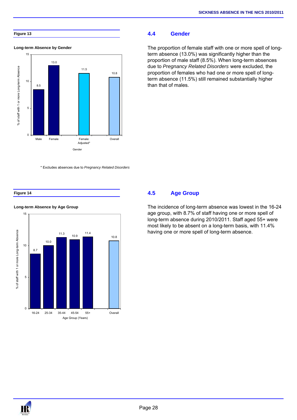

\* Excludes absences due to *Pregnancy Related Disorders* 



#### <span id="page-29-0"></span>**Figure 13 4.4 Gender**

Long-term Absence by Gender **The proportion of female staff with one or more spell of long**term absence (13.0%) was significantly higher than the proportion of male staff (8.5%). When long-term absences due to *Pregnancy Related Disorders* were excluded, the proportion of females who had one or more spell of longterm absence (11.5%) still remained substantially higher than that of males.

# **Figure 14 4.5** Age Group

**Long-term Absence by Age Group The incidence of long-term absence was lowest in the 16-24** age group, with 8.7% of staff having one or more spell of long-term absence during 2010/2011. Staff aged 55+ were most likely to be absent on a long-term basis, with 11.4% having one or more spell of long-term absence.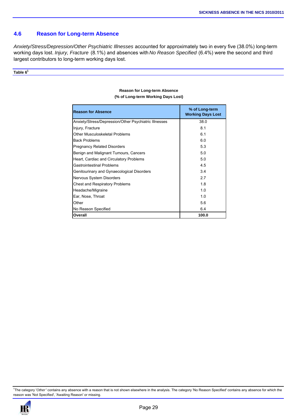## **4.6 Reason for Long-term Absence**

*Anxiety/Stress/Depression/Other Psychiatric Illnesses* accounted for approximately two in every five (38.0%) long-term working days lost. *Injury, Fracture* (8.1%) and absences with *No Reason Specified* (6.4%) were the second and third largest contributors to long-term working days lost.

### **Table 61**

#### **Reason for Long-term Absence (% of Long-term Working Days Lost)**

| <b>Reason for Absence</b>                             | % of Long-term<br><b>Working Days Lost</b> |
|-------------------------------------------------------|--------------------------------------------|
| Anxiety/Stress/Depression/Other Psychiatric Illnesses | 38.0                                       |
| Injury, Fracture                                      | 8.1                                        |
| Other Musculoskeletal Problems                        | 6.1                                        |
| <b>Back Problems</b>                                  | 6.0                                        |
| <b>Pregnancy Related Disorders</b>                    | 5.3                                        |
| Benign and Malignant Tumours, Cancers                 | 5.0                                        |
| Heart, Cardiac and Circulatory Problems               | 5.0                                        |
| Gastrointestinal Problems                             | 4.5                                        |
| Genitourinary and Gynaecological Disorders            | 3.4                                        |
| Nervous System Disorders                              | 2.7                                        |
| <b>Chest and Respiratory Problems</b>                 | 1.8                                        |
| Headache/Migraine                                     | 1.0                                        |
| Ear, Nose, Throat                                     | 1.0                                        |
| Other                                                 | 5.6                                        |
| No Reason Specified                                   | 6.4                                        |
| Overall                                               | 100.0                                      |

<sup>1</sup>The category 'Other' contains any absence with a reason that is not shown elsewhere in the analysis. The category 'No Reason Specified' contains any absence for which the reason was 'Not Specified', 'Awaiting Reason' or missing.

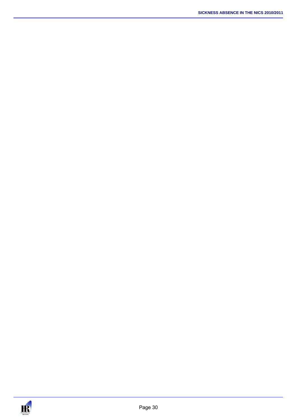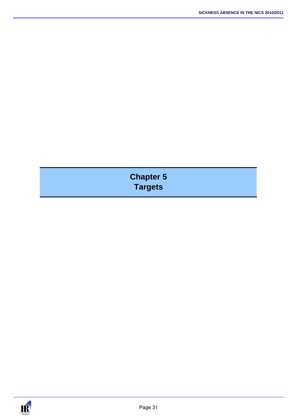| <b>Chapter 5</b> |  |
|------------------|--|
| <b>Targets</b>   |  |

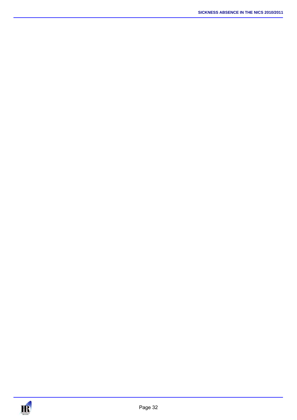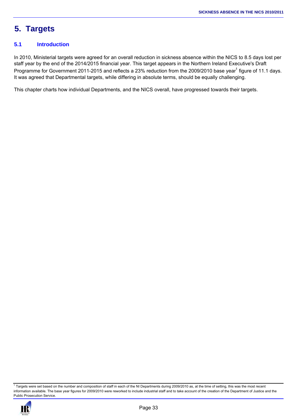# <span id="page-34-0"></span>**5. Targets**

## **5.1 Introduction**

In 2010, Ministerial targets were agreed for an overall reduction in sickness absence within the NICS to 8.5 days lost per staff year by the end of the 2014/2015 financial year. This target appears in the Northern Ireland Executive's Draft Programme for Government 2011-2015 and reflects a 23% reduction from the 2009/2010 base year<sup>1</sup> figure of 11.1 days. It was agreed that Departmental targets, while differing in absolute terms, should be equally challenging.

This chapter charts how individual Departments, and the NICS overall, have progressed towards their targets.

<sup>1</sup> Targets were set based on the number and composition of staff in each of the NI Departments during 2009/2010 as, at the time of setting, this was the most recent information available. The base year figures for 2009/2010 were reworked to include industrial staff and to take account of the creation of the Department of Justice and the Public Prosecution Service.

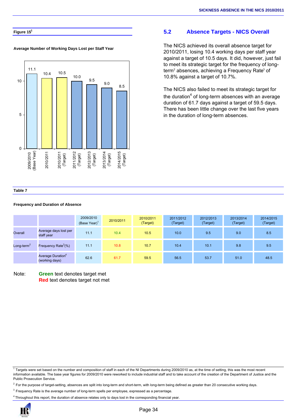

# <span id="page-35-0"></span>**Figure [151](#page-36-0) 5.2 Absence Targets - NICS Overall**

The NICS achieved its overall absence target for **Average Number of Working Days Lost per Staff Year** 2010/2011, losing 10.4 working days per staff year against a target of 10.5 days. It did, however, just fail to meet its strategic target for the frequency of longterm<sup>2</sup> absences, achieving a Frequency Rate<sup>3</sup> of 10.8% against a target of 10.7%.

> The NICS also failed to meet its strategic target for the duration<sup>4</sup> of long-term absences with an average duration of 61.7 days against a target of 59.5 days. There has been little change over the last five years in the duration of long-term absences.

#### **Table 7**

#### **Frequency and Duration of Absence**

|                        |                                                       | 2009/2010<br>$(Base Year)^{1}$ | 2010/2011 | 2010/2011<br>(Target) | 2011/2012<br>(Target) | 2012/2013<br>(Target) | 2013/2014<br>(Target) | 2014/2015<br>(Target) |
|------------------------|-------------------------------------------------------|--------------------------------|-----------|-----------------------|-----------------------|-----------------------|-----------------------|-----------------------|
| Overall                | Average days lost per<br>staff year                   | 11.1                           | 10.4      | 10.5                  | 10.0                  | 9.5                   | 9.0                   | 8.5                   |
| Long-term <sup>2</sup> | Frequency Rate <sup>3</sup> $(\%)$                    | 11.1                           | 10.8      | 10.7                  | 10.4                  | 10.1                  | 9.8                   | 9.5                   |
|                        | <b>Average Duration<sup>4</sup></b><br>(working days) | 62.6                           | 61.7      | 59.5                  | 56.5                  | 53.7                  | 51.0                  | 48.5                  |

Note: **Green** text denotes target met **Red** text denotes target not met

<sup>4</sup> Throughout this report, the duration of absence relates only to days lost in the corresponding financial year.



 $^1$  $^1$  Targets were set based on the number and composition of staff in each of the NI Departments during 2009/2010 as, at the time of setting, this was the most recent information available. The base year figures for 2009/2010 were reworked to include industrial staff and to take account of the creation of the Department of Justice and the Public Prosecution Service.

 $2$  For the purpose of target-setting, absences are split into long-term and short-term, with long-term being defined as greater than 20 consecutive working days.

 $3$  Frequency Rate is the average number of long-term spells per employee, expressed as a percentage.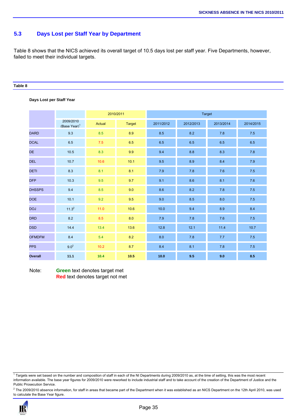#### **5.3 Days Lost per Staff Year by Department**

Table 8 shows that the NICS achieved its overall target of 10.5 days lost per staff year. Five Departments, however, failed to meet their individual targets.

#### **Table 8**

#### **Days Lost per Staff Year**

|                |                                       | 2010/2011 |               | Target    |           |           |           |
|----------------|---------------------------------------|-----------|---------------|-----------|-----------|-----------|-----------|
|                | 2009/2010<br>(Base Year) <sup>1</sup> | Actual    | <b>Target</b> | 2011/2012 | 2012/2013 | 2013/2014 | 2014/2015 |
| <b>DARD</b>    | 9.3                                   | 8.5       | 8.9           | 8.5       | 8.2       | 7.8       | 7.5       |
| <b>DCAL</b>    | 6.5                                   | 7.5       | 6.5           | 6.5       | 6.5       | 6.5       | 6.5       |
| <b>DE</b>      | 10.5                                  | 8.3       | 9.9           | 9.4       | 8.8       | 8.3       | 7.8       |
| <b>DEL</b>     | 10.7                                  | 10.6      | 10.1          | 9.5       | 8.9       | 8.4       | 7.9       |
| <b>DETI</b>    | 8.3                                   | 8.1       | 8.1           | 7.9       | 7.8       | 7.6       | 7.5       |
| <b>DFP</b>     | 10.3                                  | 9.5       | 9.7           | 9.1       | 8.6       | 8.1       | 7.6       |
| <b>DHSSPS</b>  | 9.4                                   | 8.5       | 9.0           | 8.6       | 8.2       | 7.8       | 7.5       |
| <b>DOE</b>     | 10.1                                  | 9.2       | 9.5           | 9.0       | 8.5       | 8.0       | 7.5       |
| <b>DOJ</b>     | $11.3^2$                              | 11.0      | 10.6          | 10.0      | 9.4       | 8.9       | 8.4       |
| <b>DRD</b>     | 8.2                                   | 8.5       | 8.0           | 7.9       | 7.8       | 7.6       | 7.5       |
| <b>DSD</b>     | 14.4                                  | 13.4      | 13.6          | 12.8      | 12.1      | 11.4      | 10.7      |
| <b>OFMDFM</b>  | 8.4                                   | 5.4       | 8.2           | 8.0       | 7.8       | 7.7       | 7.5       |
| <b>PPS</b>     | $9.0^{2}$                             | 10.2      | 8.7           | 8.4       | 8.1       | 7.8       | 7.5       |
| <b>Overall</b> | 11.1                                  | 10.4      | $10.5$        | 10.0      | 9.5       | 9.0       | 8.5       |

Note: **Green** text denotes target met **Red** text denotes target not met

 $1$  Targets were set based on the number and composition of staff in each of the NI Departments during 2009/2010 as, at the time of setting, this was the most recent information available. The base year figures for 2009/2010 were reworked to include industrial staff and to take account of the creation of the Department of Justice and the Public Prosecution Service.

 $^2$  The 2009/2010 absence information, for staff in areas that became part of the Department when it was established as an NICS Department on the 12th April 2010, was used to calculate the Base Year figure.

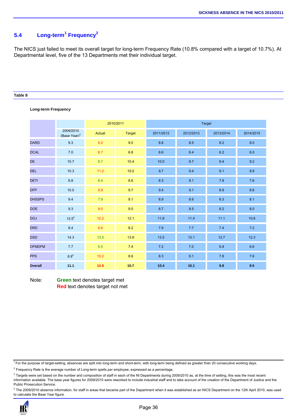### **5.4 Long-term<sup>1</sup> Frequency<sup>2</sup>**

The NICS just failed to meet its overall target for long-term Frequency Rate (10.8% compared with a target of 10.7%). At Departmental level, five of the 13 Departments met their individual target.

#### **Table 9**

#### **Long-term Frequency**

|                |                              | 2010/2011 |               |           |           | Target    |           |
|----------------|------------------------------|-----------|---------------|-----------|-----------|-----------|-----------|
|                | 2009/2010<br>(Base Year) $3$ | Actual    | <b>Target</b> | 2011/2012 | 2012/2013 | 2013/2014 | 2014/2015 |
| <b>DARD</b>    | 9.3                          | 9.2       | 9.0           | 8.8       | 8.5       | 8.2       | 8.0       |
| <b>DCAL</b>    | 7.0                          | 8.7       | 6.8           | 6.6       | 6.4       | 6.2       | 6.0       |
| <b>DE</b>      | 10.7                         | 8.7       | 10.4          | 10.0      | 9.7       | 9.4       | 9.2       |
| <b>DEL</b>     | 10.3                         | 11.2      | 10.0          | 9.7       | 9.4       | 9.1       | 8.9       |
| <b>DETI</b>    | 8.8                          | 8.4       | 8.6           | 8.3       | 8.1       | 7.8       | 7.6       |
| <b>DFP</b>     | 10.0                         | 9.9       | 9.7           | 9.4       | 9.1       | 8.8       | 8.6       |
| <b>DHSSPS</b>  | 9.4                          | 7.9       | 9.1           | 8.9       | 8.6       | 8.3       | 8.1       |
| <b>DOE</b>     | 9.3                          | 9.5       | 9.0           | 8.7       | 8.5       | 8.2       | 8.0       |
| <b>DOJ</b>     | $12.5^4$                     | 12.2      | 12.1          | 11.8      | 11.4      | 11.1      | 10.8      |
| <b>DRD</b>     | 8.4                          | 8.6       | 8.2           | 7.9       | 7.7       | 7.4       | 7.2       |
| <b>DSD</b>     | 14.3                         | 13.5      | 13.9          | 13.5      | 13.1      | 12.7      | 12.3      |
| <b>OFMDFM</b>  | 7.7                          | 5.5       | 7.4           | 7.2       | 7.0       | 6.8       | 6.6       |
| <b>PPS</b>     | $8.9^{4}$                    | 10.2      | 8.6           | 8.3       | 8.1       | 7.8       | 7.6       |
| <b>Overall</b> | 11.1                         | 10.8      | 10.7          | 10.4      | 10.1      | 9.8       | 9.5       |

Note: **Green** text denotes target met **Red** text denotes target not met

<sup>1</sup> For the purpose of target-setting, absences are split into long-term and short-term, with long-term being defined as greater than 20 consecutive working days.

 $2$  Frequency Rate is the average number of Long-term spells per employee, expressed as a percentage.

<sup>&</sup>lt;sup>4</sup> The 2009/2010 absence information, for staff in areas that became part of the Department when it was established as an NICS Department on the 12th April 2010, was used to calculate the Base Year figure.



 $3$  Targets were set based on the number and composition of staff in each of the NI Departments during 2009/2010 as, at the time of setting, this was the most recent information available. The base year figures for 2009/2010 were reworked to include industrial staff and to take account of the creation of the Department of Justice and the Public Prosecution Service.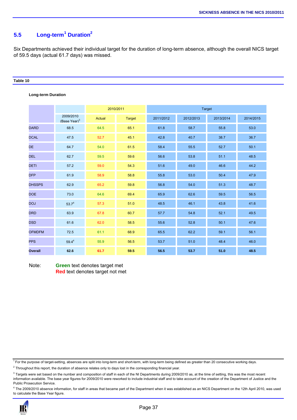## **5.5 Long-term<sup>1</sup> Duration2**

**Long-term Duration** 

Six Departments achieved their individual target for the duration of long-term absence, although the overall NICS target of 59.5 days (actual 61.7 days) was missed.

#### **Table 10**

|                |                              |               | 2010/2011     |           | Target    |           |           |  |
|----------------|------------------------------|---------------|---------------|-----------|-----------|-----------|-----------|--|
|                | 2009/2010<br>(Base Year) $3$ | <b>Actual</b> | <b>Target</b> | 2011/2012 | 2012/2013 | 2013/2014 | 2014/2015 |  |
| <b>DARD</b>    | 68.5                         | 64.5          | 65.1          | 61.8      | 58.7      | 55.8      | 53.0      |  |
| <b>DCAL</b>    | 47.5                         | 52.7          | 45.1          | 42.8      | 40.7      | 38.7      | 36.7      |  |
| DE             | 64.7                         | 54.0          | 61.5          | 58.4      | 55.5      | 52.7      | 50.1      |  |
| <b>DEL</b>     | 62.7                         | 59.5          | 59.6          | 56.6      | 53.8      | 51.1      | 48.5      |  |
| <b>DETI</b>    | 57.2                         | 59.0          | 54.3          | 51.6      | 49.0      | 46.6      | 44.2      |  |
| <b>DFP</b>     | 61.9                         | 58.9          | 58.8          | 55.8      | 53.0      | 50.4      | 47.9      |  |
| <b>DHSSPS</b>  | 62.9                         | 65.2          | 59.8          | 56.8      | 54.0      | 51.3      | 48.7      |  |
| <b>DOE</b>     | 73.0                         | 64.6          | 69.4          | 65.9      | 62.6      | 59.5      | 56.5      |  |
| <b>DOJ</b>     | $53.7^{4}$                   | 57.3          | 51.0          | 48.5      | 46.1      | 43.8      | 41.6      |  |
| <b>DRD</b>     | 63.9                         | 67.8          | 60.7          | 57.7      | 54.8      | 52.1      | 49.5      |  |
| <b>DSD</b>     | 61.6                         | 62.0          | 58.5          | 55.6      | 52.8      | 50.1      | 47.6      |  |
| <b>OFMDFM</b>  | 72.5                         | 61.1          | 68.9          | 65.5      | 62.2      | 59.1      | 56.1      |  |
| <b>PPS</b>     | $59.4^4$                     | 55.9          | 56.5          | 53.7      | 51.0      | 48.4      | 46.0      |  |
| <b>Overall</b> | 62.6                         | 61.7          | 59.5          | 56.5      | 53.7      | 51.0      | 48.5      |  |

Note: **Green** text denotes target met **Red** text denotes target not met

<sup>1</sup> For the purpose of target-setting, absences are split into long-term and short-term, with long-term being defined as greater than 20 consecutive working days.

 $2$  Throughout this report, the duration of absence relates only to days lost in the corresponding financial year.

<sup>&</sup>lt;sup>4</sup> The 2009/2010 absence information, for staff in areas that became part of the Department when it was established as an NICS Department on the 12th April 2010, was used to calculate the Base Year figure.



 $^3$  Targets were set based on the number and composition of staff in each of the NI Departments during 2009/2010 as, at the time of setting, this was the most recent information available. The base year figures for 2009/2010 were reworked to include industrial staff and to take account of the creation of the Department of Justice and the Public Prosecution Service.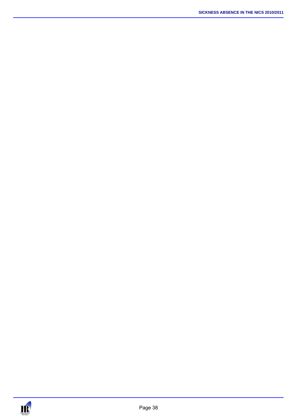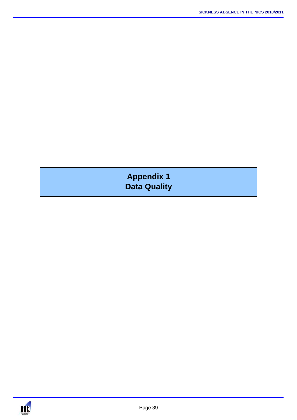| <b>Appendix 1</b>   |
|---------------------|
| <b>Data Quality</b> |

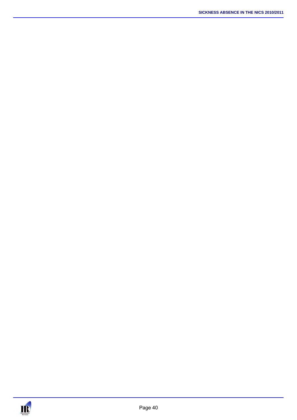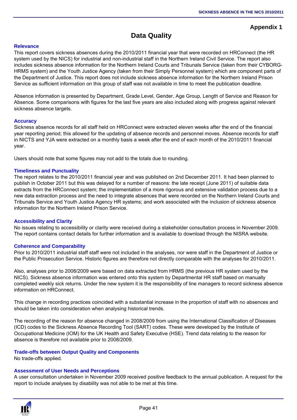# **Data Quality**

#### **Relevance**

This report covers sickness absences during the 2010/2011 financial year that were recorded on HRConnect (the HR system used by the NICS) for industrial and non-industrial staff in the Northern Ireland Civil Service. The report also includes sickness absence information for the Northern Ireland Courts and Tribunals Service (taken from their CYBORG-HRMS system) and the Youth Justice Agency (taken from their Simply Personnel system) which are component parts of the Department of Justice. This report does not include sickness absence information for the Northern Ireland Prison Service as sufficient information on this group of staff was not available in time to meet the publication deadline.

Absence information is presented by Department, Grade Level, Gender, Age Group, Length of Service and Reason for Absence. Some comparisons with figures for the last five years are also included along with progress against relevant sickness absence targets.

#### **Accuracy**

Sickness absence records for all staff held on HRConnect were extracted eleven weeks after the end of the financial year reporting period; this allowed for the updating of absence records and personnel moves. Absence records for staff in NICTS and YJA were extracted on a monthly basis a week after the end of each month of the 2010/2011 financial year.

Users should note that some figures may not add to the totals due to rounding.

#### **Timeliness and Punctuality**

The report relates to the 2010/2011 financial year and was published on 2nd December 2011. It had been planned to publish in October 2011 but this was delayed for a number of reasons: the late receipt (June 2011) of suitable data extracts from the HRConnect system; the implementation of a more rigorous and extensive validation process due to a new data extraction process and the need to integrate absences that were recorded on the Northern Ireland Courts and Tribunals Service and Youth Justice Agency HR systems; and work associated with the inclusion of sickness absence information for the Northern Ireland Prison Service.

#### **Accessibility and Clarity**

No issues relating to accessibility or clarity were received during a stakeholder consultation process in November 2009. The report contains contact details for further information and is available to download through the NISRA website.

#### **Coherence and Comparability**

Prior to 2010/2011 industrial staff staff were not included in the analyses, nor were staff in the Department of Justice or the Public Prosecution Service. Historic figures are therefore not directly comparable with the analyses for 2010/2011.

Also, analyses prior to 2008/2009 were based on data extracted from HRMS (the previous HR system used by the NICS). Sickness absence information was entered onto this system by Departmental HR staff based on manually completed weekly sick returns. Under the new system it is the responsibility of line managers to record sickness absence information on HRConnect.

This change in recording practices coincided with a substantial increase in the proportion of staff with no absences and should be taken into consideration when analysing historical trends.

The recording of the reason for absence changed in 2008/2009 from using the International Classification of Diseases (ICD) codes to the Sickness Absence Recording Tool (SART) codes. These were developed by the Institute of Occupational Medicine (IOM) for the UK Health and Safety Executive (HSE). Trend data relating to the reason for absence is therefore not available prior to 2008/2009.

#### **Trade-offs between Output Quality and Components**

No trade-offs applied.

#### **Assessment of User Needs and Perceptions**

A user consultation undertaken in November 2009 received positive feedback to the annual publication. A request for the report to include analyses by disability was not able to be met at this time.

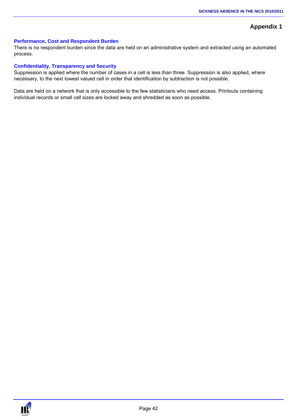#### **Performance, Cost and Respondent Burden**

There is no respondent burden since the data are held on an administrative system and extracted using an automated process.

#### **Confidentiality, Transparency and Security**

Suppression is applied where the number of cases in a cell is less than three. Suppression is also applied, where necessary, to the next lowest valued cell in order that identification by subtraction is not possible.

Data are held on a network that is only accessible to the few statisticians who need access. Printouts containing individual records or small cell sizes are locked away and shredded as soon as possible.

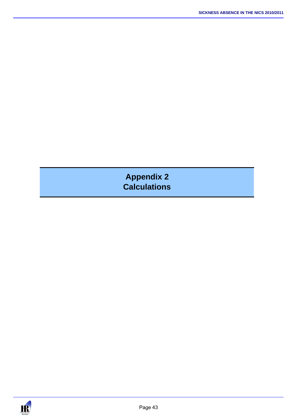**[Appendix 2](#page-3-0) Calculations**

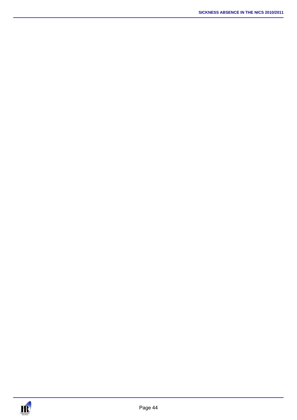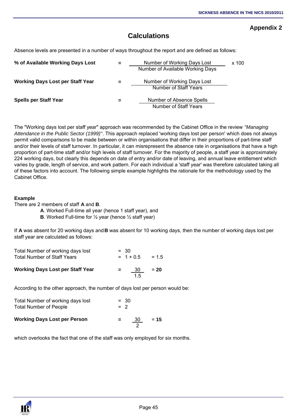# **Calculations**

Absence levels are presented in a number of ways throughout the report and are defined as follows:

| % of Available Working Days Lost        | Number of Working Days Lost<br>Number of Available Working Days | x 100 |
|-----------------------------------------|-----------------------------------------------------------------|-------|
| <b>Working Days Lost per Staff Year</b> | Number of Working Days Lost<br>Number of Staff Years            |       |
| <b>Spells per Staff Year</b>            | Number of Absence Spells<br>Number of Staff Years               |       |

The "Working days lost per staff year" approach was recommended by the Cabinet Office in the review *"Managing Attendance in the Public Sector (1999)"*. This approach replaced 'working days lost per person' which does not always permit valid comparisons to be made between or within organisations that differ in their proportions of part-time staff and/or their levels of staff turnover. In particular, it can misrepresent the absence rate in organisations that have a high proportion of part-time staff and/or high levels of staff turnover. For the majority of people, a staff year is approximately 224 working days, but clearly this depends on date of entry and/or date of leaving, and annual leave entitlement which varies by grade, length of service, and work pattern. For each individual a 'staff year' was therefore calculated taking all of these factors into account. The following simple example highlights the rationale for the methodology used by the Cabinet Office.

#### **Example**

There are 2 members of staff **A** and **B**.

**A**. Worked Full-time all year (hence 1 staff year), and

**B**. Worked Full-time for ½ year (hence ½ staff year)

If **A** was absent for 20 working days and **B** was absent for 10 working days, then the number of working days lost per staff year are calculated as follows:

| Total Number of working days lost<br><b>Total Number of Staff Years</b> | $= 30$ | $= 1 + 0.5$ | $= 1.5$ |
|-------------------------------------------------------------------------|--------|-------------|---------|
| <b>Working Days Lost per Staff Year</b>                                 |        | 30<br>15    | $= 20$  |

According to the other approach, the number of days lost per person would be:

| Total Number of working days lost<br><b>Total Number of People</b> | $= 30$<br>$= 2$ |    |        |
|--------------------------------------------------------------------|-----------------|----|--------|
| <b>Working Days Lost per Person</b>                                | $=$             | 30 | $= 15$ |

which overlooks the fact that one of the staff was only employed for six months.

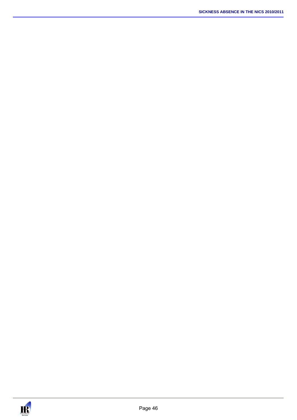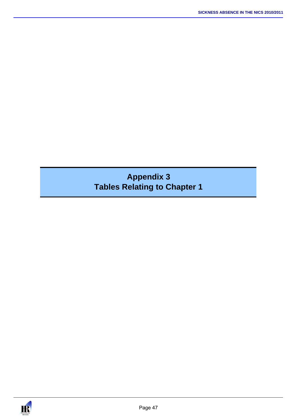# **Appendix 3 [Tables Relating to Chapter 1](#page-2-0)**

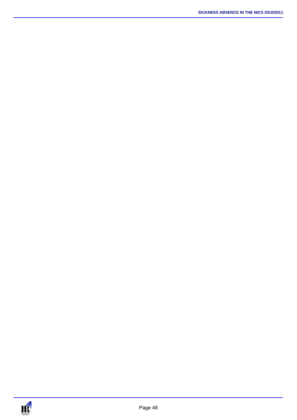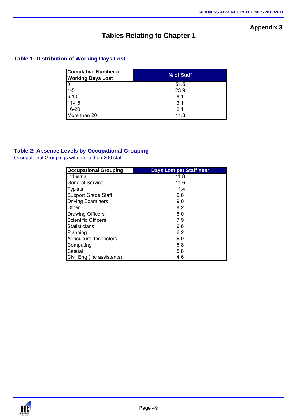# **Tables Relating to Chapter 1**

### **Table 1: Distribution of Working Days Lost**

| <b>Cumulative Number of</b><br><b>Working Days Lost</b> | % of Staff |  |  |  |
|---------------------------------------------------------|------------|--|--|--|
|                                                         | 51.5       |  |  |  |
|                                                         | 23.9       |  |  |  |
| $1-5$<br>6-10                                           | 8.1        |  |  |  |
| $11 - 15$                                               | 3.1        |  |  |  |
| 16-20                                                   | 2.1        |  |  |  |
| More than 20                                            | 11.3       |  |  |  |

### **Table 2: Absence Levels by Occupational Grouping**

Occupational Groupings with more than 200 staff

| <b>Occupational Grouping</b>   | Days Lost per Staff Year |
|--------------------------------|--------------------------|
| Industrial                     | 11.8                     |
| <b>General Service</b>         | 11.6                     |
| <b>Typists</b>                 | 11.4                     |
| <b>Support Grade Staff</b>     | 9.6                      |
| <b>Driving Examiners</b>       | 9.0                      |
| <b>Other</b>                   | 8.2                      |
| <b>Drawing Officers</b>        | 8.0                      |
| <b>Scientific Officers</b>     | 7.9                      |
| Statisticians                  | 6.6                      |
| Planning                       | 6.2                      |
| <b>Agricultural Inspectors</b> | 6.0                      |
| Computing                      | 5.8                      |
| <b>Casual</b>                  | 5.8                      |
| Civil Eng (inc assistants)     | 4.6                      |

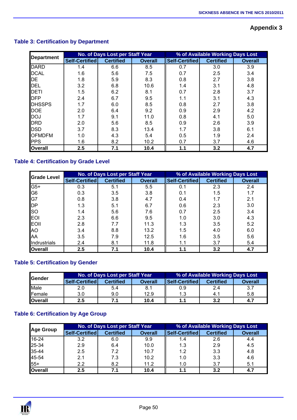|                   |                | <b>No. of Days Lost per Staff Year</b> |                | % of Available Working Days Lost |                  |                |
|-------------------|----------------|----------------------------------------|----------------|----------------------------------|------------------|----------------|
| <b>Department</b> | Self-Certified | <b>Certified</b>                       | <b>Overall</b> | Self-Certified                   | <b>Certified</b> | <b>Overall</b> |
| <b>DARD</b>       | 1.4            | 6.6                                    | 8.5            | 0.7                              | 3.0              | 3.9            |
| <b>DCAL</b>       | 1.6            | 5.6                                    | 7.5            | 0.7                              | 2.5              | 3.4            |
| DE                | 1.8            | 5.9                                    | 8.3            | 0.8                              | 2.7              | 3.8            |
| <b>DEL</b>        | 3.2            | 6.8                                    | 10.6           | 1.4                              | 3.1              | 4.8            |
| <b>DETI</b>       | 1.5            | 6.2                                    | 8.1            | 0.7                              | 2.8              | 3.7            |
| <b>DFP</b>        | 2.4            | 6.7                                    | 9.5            | 1.1                              | 3.1              | 4.3            |
| <b>DHSSPS</b>     | 1.7            | 6.0                                    | 8.5            | 0.8                              | 2.7              | 3.8            |
| <b>DOE</b>        | 2.0            | 6.4                                    | 9.2            | 0.9                              | 2.9              | 4.2            |
| <b>DOJ</b>        | 1.7            | 9.1                                    | 11.0           | 0.8                              | 4.1              | 5.0            |
| <b>DRD</b>        | 2.0            | 5.6                                    | 8.5            | 0.9                              | 2.6              | 3.9            |
| <b>DSD</b>        | 3.7            | 8.3                                    | 13.4           | 1.7                              | 3.8              | 6.1            |
| <b>OFMDFM</b>     | 1.0            | 4.3                                    | 5.4            | 0.5                              | 1.9              | 2.4            |
| <b>PPS</b>        | 1.6            | 8.2                                    | 10.2           | 0.7                              | 3.7              | 4.6            |
| <b>Overall</b>    | 2.5            | 7.1                                    | 10.4           | 1.1                              | 3.2              | 4.7            |

#### **Table 3: Certification by Department**

### **Table 4: Certification by Grade Level**

| <b>Grade Level</b> | No. of Days Lost per Staff Year |                  |                | % of Available Working Days Lost |                  |                |
|--------------------|---------------------------------|------------------|----------------|----------------------------------|------------------|----------------|
|                    | Self-Certified                  | <b>Certified</b> | <b>Overall</b> | Self-Certified                   | <b>Certified</b> | <b>Overall</b> |
| $G5+$              | 0.3                             | 5.1              | 5.5            | 0.1                              | 2.3              | 2.4            |
| G <sub>6</sub>     | 0.3                             | 3.5              | 3.8            | 0.1                              | 1.5              | 1.7            |
| G7                 | 0.8                             | 3.8              | 4.7            | 0.4                              | 1.7              | 2.1            |
| <b>DP</b>          | 1.3                             | 5.1              | 6.7            | 0.6                              | 2.3              | 3.0            |
| SO                 | 1.4                             | 5.6              | 7.6            | 0.7                              | 2.5              | 3.4            |
| <b>EOI</b>         | 2.3                             | 6.6              | 9.5            | 1.0                              | 3.0              | 4.3            |
| <b>EOII</b>        | 2.8                             | 7.7              | 11.3           | 1.3                              | 3.5              | 5.2            |
| AO                 | 3.4                             | 8.8              | 13.2           | 1.5                              | 4.0              | 6.0            |
| AA                 | 3.5                             | 7.9              | 12.5           | 1.6                              | 3.5              | 5.6            |
| Indrustrials       | 2.4                             | 8.1              | 11.8           | 1.1                              | 3.7              | 5.4            |
| <b>Overall</b>     | 2.5                             | 7.1              | 10.4           | 1.1                              | 3.2              | 4.7            |

# **Table 5: Certification by Gender**

| <b>Gender</b> |                       | No. of Days Lost per Staff Year |                | % of Available Working Days Lost |                  |                |  |
|---------------|-----------------------|---------------------------------|----------------|----------------------------------|------------------|----------------|--|
|               | <b>Self-Certified</b> | <b>Certified</b>                | <b>Overall</b> | llSelf-Certified l               | <b>Certified</b> | <b>Overall</b> |  |
| Male          | 2.0                   | 5.4                             | 8.1            | 0.9                              | 2.4              | 27             |  |
| Female        | 3.0                   | 9.0                             | 12.9           | 1.3                              | 4.1              | 5.8            |  |
| Overall       | 2.5                   | 7.1                             | 10.4           |                                  | 3.2              | 4.7            |  |

#### **Table 6: Certification by Age Group**

| <b>Age Group</b> | No. of Days Lost per Staff Year |                  |                | % of Available Working Days Lost |                  |                |
|------------------|---------------------------------|------------------|----------------|----------------------------------|------------------|----------------|
|                  | Self-Certified                  | <b>Certified</b> | <b>Overall</b> | Self-Certified                   | <b>Certified</b> | <b>Overall</b> |
| $16 - 24$        | 3.2                             | 6.0              | 9.9            | 1.4                              | 2.6              | 4.4            |
| 25-34            | 2.9                             | 6.4              | 10.0           | 1.3                              | 2.9              | 4.5            |
| 35-44            | 2.5                             | 7.2              | 10.7           | 1.2                              | 3.3              | 4.8            |
| 45-54            | 2.1                             | 7.3              | 10.2           | 1.0                              | 3.3              | 4.6            |
| $55+$            | 2.2                             | 8.2              | 11.2           | 1.0                              | 3.7              | 5.1            |
| <b>Overall</b>   | 2.5                             | 7.1              | 10.4           | 1.1                              | 3.2              | 4.1            |

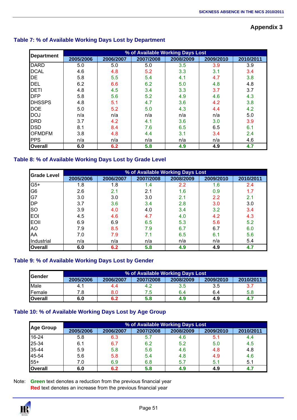|                   | % of Available Working Days Lost |           |           |           |           |           |  |  |
|-------------------|----------------------------------|-----------|-----------|-----------|-----------|-----------|--|--|
| <b>Department</b> | 2005/2006                        | 2006/2007 | 2007/2008 | 2008/2009 | 2009/2010 | 2010/2011 |  |  |
| <b>DARD</b>       | 5.0                              | 5.0       | 5.0       | 3.5       | 3.9       | 3.9       |  |  |
| <b>DCAL</b>       | 4.6                              | 4.8       | 5.2       | 3.3       | 3.1       | 3.4       |  |  |
| DE                | 5.8                              | 5.5       | 5.4       | 4.1       | 4.7       | 3.8       |  |  |
| <b>DEL</b>        | 6.2                              | 6.6       | 6.2       | 5.0       | 4.8       | 4.8       |  |  |
| <b>DETI</b>       | 4.8                              | 4.5       | 3.4       | 3.3       | 3.7       | 3.7       |  |  |
| <b>DFP</b>        | 5.8                              | 5.6       | 5.2       | 4.9       | 4.6       | 4.3       |  |  |
| <b>DHSSPS</b>     | 4.8                              | 5.1       | 4.7       | 3.6       | 4.2       | 3.8       |  |  |
| <b>DOE</b>        | 5.0                              | 5.2       | 5.0       | 4.3       | 4.4       | 4.2       |  |  |
| <b>DOJ</b>        | n/a                              | n/a       | n/a       | n/a       | n/a       | 5.0       |  |  |
| <b>DRD</b>        | 3.7                              | 4.2       | 4.1       | 3.6       | 3.0       | 3.9       |  |  |
| <b>DSD</b>        | 8.1                              | 8.4       | 7.6       | 6.5       | 6.5       | 6.1       |  |  |
| <b>OFMDFM</b>     | 3.8                              | 4.8       | 4.4       | 3.1       | 3.4       | 2.4       |  |  |
| <b>PPS</b>        | n/a                              | n/a       | n/a       | n/a       | n/a       | 4.6       |  |  |
| <b>Overall</b>    | 6.0                              | 6.2       | 5.8       | 4.9       | 4.9       | 4.7       |  |  |

#### **Table 7: % of Available Working Days Lost by Department**

# **Table 8: % of Available Working Days Lost by Grade Level**

| <b>Grade Level</b> | % of Available Working Days Lost |           |           |           |           |           |  |  |
|--------------------|----------------------------------|-----------|-----------|-----------|-----------|-----------|--|--|
|                    | 2005/2006                        | 2006/2007 | 2007/2008 | 2008/2009 | 2009/2010 | 2010/2011 |  |  |
| $G5+$              | 1.8                              | 1.8       | 1.4       | 2.2       | 1.6       | 2.4       |  |  |
| G <sub>6</sub>     | 2.6                              | 2.1       | 2.1       | 1.6       | 0.9       | 1.7       |  |  |
| G7                 | 3.0                              | 3.0       | 3.0       | 2.1       | 2.2       | 2.1       |  |  |
| DP                 | 3.7                              | 3.6       | 3.4       | 2.8       | 3.0       | 3.0       |  |  |
| SO                 | 3.9                              | 4.0       | 4.0       | 3.4       | 3.2       | 3.4       |  |  |
| <b>EOI</b>         | 4.5                              | 4.6       | 4.7       | 4.0       | 4.2       | 4.3       |  |  |
| <b>EOII</b>        | 6.9                              | 6.9       | 6.5       | 5.3       | 5.6       | 5.2       |  |  |
| AO                 | 7.9                              | 8.5       | 7.9       | 6.7       | 6.7       | 6.0       |  |  |
| AA                 | 7.0                              | 7.9       | 7.1       | 6.5       | 6.1       | 5.6       |  |  |
| Industrial         | n/a                              | n/a       | n/a       | n/a       | n/a       | 5.4       |  |  |
| <b>Overall</b>     | 6.0                              | 6.2       | 5.8       | 4.9       | 4.9       | 4.7       |  |  |

#### **Table 9: % of Available Working Days Lost by Gender**

| <b>Gender</b>  | % of Available Working Days Lost |           |           |           |           |           |  |  |
|----------------|----------------------------------|-----------|-----------|-----------|-----------|-----------|--|--|
|                | 2005/2006                        | 2006/2007 | 2007/2008 | 2008/2009 | 2009/2010 | 2010/2011 |  |  |
| Male           | 4.1                              | 4.4       |           | 3.5       | 3.5       |           |  |  |
| Female         | 7.8                              | 8.0       | 7.5       | 6.4       | 6.4       | 5.8       |  |  |
| <b>Overall</b> | 6.0                              | 6.2       | 5.8       | 4.9       | 4.9       |           |  |  |

#### **Table 10: % of Available Working Days Lost by Age Group**

|                  | % of Available Working Days Lost |           |           |           |           |           |  |  |
|------------------|----------------------------------|-----------|-----------|-----------|-----------|-----------|--|--|
| Age Group        | 2005/2006                        | 2006/2007 | 2007/2008 | 2008/2009 | 2009/2010 | 2010/2011 |  |  |
| 16-24            | 5.8                              | 6.3       | 5.7       | 4.6       | 5.1       |           |  |  |
| 25-34            | 6.1                              | 6.7       | 6.2       | 5.2       | 5.0       | 4.5       |  |  |
| 35-44<br>45-54   | 5.9                              | 5.8       | 5.6       | 4.6       | 4.8       | 4.8       |  |  |
|                  | 5.6                              | 5.8       | 5.4       | 4.8       | 4.9       | 4.6       |  |  |
| $55+$            | 7.0                              | 6.9       | 6.8       | 5.7       | 5.1       | 5.1       |  |  |
| <b>I</b> Overall | 6.0                              | 6.2       | 5.8       | 4.9       | 4.9       |           |  |  |

Note: **Green** text denotes a reduction from the previous financial year **Red** text denotes an increase from the previous financial year

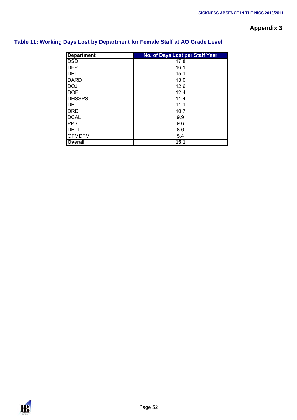| <b>Department</b> | No. of Days Lost per Staff Year |
|-------------------|---------------------------------|
| <b>DSD</b>        | 17.8                            |
| <b>DFP</b>        | 16.1                            |
| DEL               | 15.1                            |
| <b>DARD</b>       | 13.0                            |
| <b>DOJ</b>        | 12.6                            |
| <b>DOE</b>        | 12.4                            |
| <b>DHSSPS</b>     | 11.4                            |
| <b>DE</b>         | 11.1                            |
| <b>DRD</b>        | 10.7                            |
| <b>DCAL</b>       | 9.9                             |
| <b>PPS</b>        | 9.6                             |
| DETI              | 8.6                             |
| <b>OFMDFM</b>     | 5.4                             |
| Overall           | 15.1                            |

### **Table 11: Working Days Lost by Department for Female Staff at AO Grade Level**

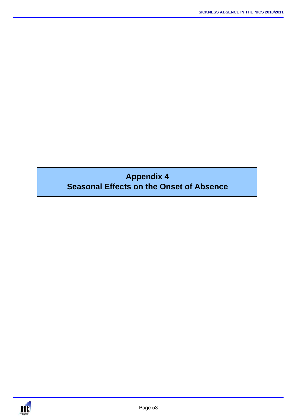# **[Appendix 4](#page-5-0) Seasonal Effects on the Onset of Absence**

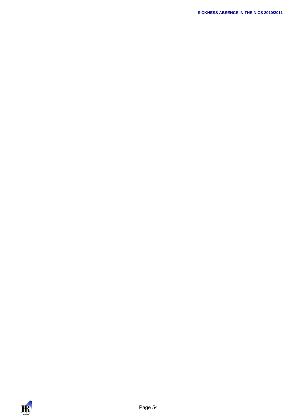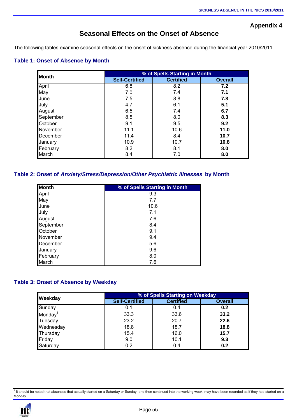# **Seasonal Effects on the Onset of Absence**

The following tables examine seasonal effects on the onset of sickness absence during the financial year 2010/2011.

#### **Table 1: Onset of Absence by Month**

| Month     | % of Spells Starting in Month |                  |                |  |  |  |
|-----------|-------------------------------|------------------|----------------|--|--|--|
|           | <b>Self-Certified</b>         | <b>Certified</b> | <b>Overall</b> |  |  |  |
| April     | 6.8                           | 8.2              | 7.2            |  |  |  |
| May       | 7.0                           | 7.4              | 7.1            |  |  |  |
| June      | 7.5                           | 8.8              | 7.8            |  |  |  |
| July      | 4.7                           | 6.1              | 5.1            |  |  |  |
| August    | 6.5                           | 7.4              | 6.7            |  |  |  |
| September | 8.5                           | 8.0              | 8.3            |  |  |  |
| October   | 9.1                           | 9.5              | 9.2            |  |  |  |
| November  | 11.1                          | 10.6             | 11.0           |  |  |  |
| December  | 11.4                          | 8.4              | 10.7           |  |  |  |
| January   | 10.9                          | 10.7             | 10.8           |  |  |  |
| February  | 8.2                           | 8.1              | 8.0            |  |  |  |
| March     | 8.4                           | 7.0              | 8.0            |  |  |  |

#### **Table 2: Onset of** *Anxiety/Stress/Depression/Other Psychiatric Illnesses* **by Month**

| <b>Month</b> | % of Spells Starting in Month |
|--------------|-------------------------------|
| April        | 9.3                           |
| May          | 7.7                           |
| June         | 10.6                          |
| July         | 7.1                           |
| August       | 7.6                           |
| September    | 8.4                           |
| October      | 9.1                           |
| November     | 9.4                           |
| December     | 5.6                           |
| January      | 9.6                           |
| February     | 8.0                           |
| March        | 7.6                           |

#### **Table 3: Onset of Absence by Weekday**

| <b>Weekday</b>      | % of Spells Starting on Weekday |                  |                |  |  |  |
|---------------------|---------------------------------|------------------|----------------|--|--|--|
|                     | <b>Self-Certified</b>           | <b>Certified</b> | <b>Overall</b> |  |  |  |
| Sunday              | 0.1                             | 0.4              | 0.2            |  |  |  |
| Monday <sup>1</sup> | 33.3                            | 33.6             | 33.2           |  |  |  |
| Tuesday             | 23.2                            | 20.7             | 22.6           |  |  |  |
| Wednesday           | 18.8                            | 18.7             | 18.8           |  |  |  |
| Thursday            | 15.4                            | 16.0             | 15.7           |  |  |  |
| Friday              | 9.0                             | 10.1             | 9.3            |  |  |  |
| Saturday            | 0.2                             | 0.4              | 0.2            |  |  |  |

<sup>1</sup> It should be noted that absences that actually started on a Saturday or Sunday, and then continued into the working week, may have been recorded as if they had started on a Monday.

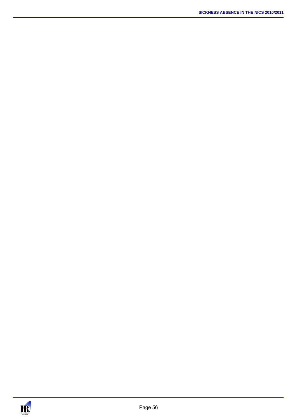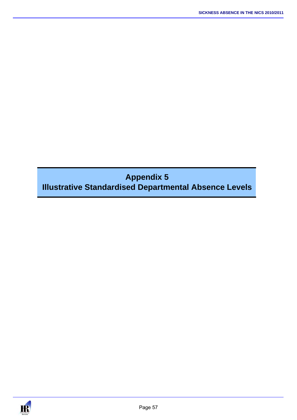# **Illustrative Standardised Departmental Absence Levels**

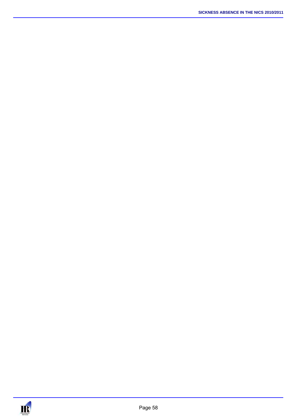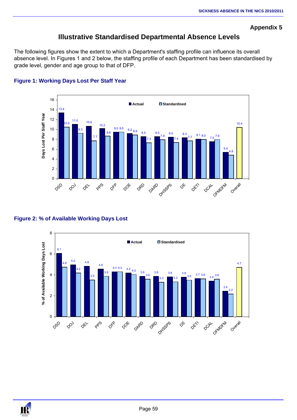# **Illustrative Standardised Departmental Absence Levels**

The following figures show the extent to which a Department's staffing profile can influence its overall absence level. In Figures 1 and 2 below, the staffing profile of each Department has been standardised by grade level, gender and age group to that of DFP.



### **Figure 1: Working Days Lost Per Staff Year**

**Figure 2: % of Available Working Days Lost** 



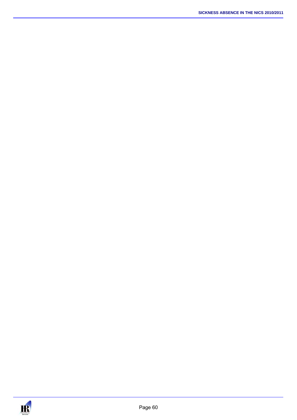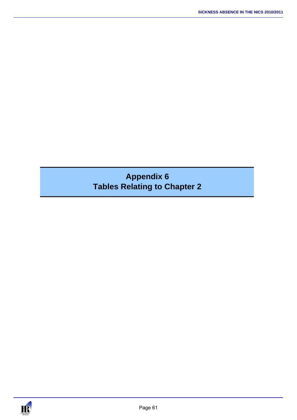# **[Appendix 6](#page-7-0) [Tables Relating to Chapter 2](#page-3-0)**

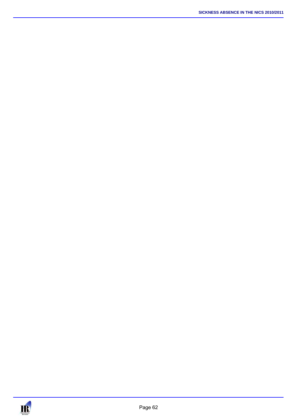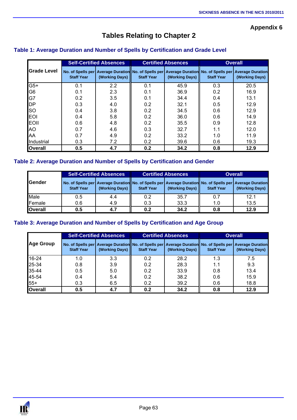# **Tables Relating to Chapter 2**

#### **Table 1: Average Duration and Number of Spells by Certification and Grade Level**

|                    | <b>Self-Certified Absences</b> |                |                   | <b>Certified Absences</b>                                                                                                  | <b>Overall</b>    |                |
|--------------------|--------------------------------|----------------|-------------------|----------------------------------------------------------------------------------------------------------------------------|-------------------|----------------|
| <b>Grade Level</b> | <b>Staff Year</b>              | (Working Days) | <b>Staff Year</b> | No. of Spells per Average Duration No. of Spells per Average Duration No. of Spells per Average Duration<br>(Working Days) | <b>Staff Year</b> | (Working Days) |
| $G5+$              | 0.1                            | 2.2            | 0.1               | 45.9                                                                                                                       | 0.3               | 20.5           |
| G <sub>6</sub>     | 0.1                            | 2.3            | 0.1               | 36.9                                                                                                                       | 0.2               | 16.9           |
| G7                 | 0.2                            | 3.5            | 0.1               | 34.4                                                                                                                       | 0.4               | 13.1           |
| <b>DP</b>          | 0.3                            | 4.0            | 0.2               | 32.1                                                                                                                       | 0.5               | 12.9           |
| <b>SO</b>          | 0.4                            | 3.8            | 0.2               | 34.5                                                                                                                       | 0.6               | 12.9           |
| <b>EOI</b>         | 0.4                            | 5.8            | 0.2               | 36.0                                                                                                                       | 0.6               | 14.9           |
| EOII               | 0.6                            | 4.8            | 0.2               | 35.5                                                                                                                       | 0.9               | 12.8           |
| <b>AO</b>          | 0.7                            | 4.6            | 0.3               | 32.7                                                                                                                       | 1.1               | 12.0           |
| <b>AA</b>          | 0.7                            | 4.9            | 0.2               | 33.2                                                                                                                       | 1.0               | 11.9           |
| Industrial         | 0.3                            | 7.2            | 0.2               | 39.6                                                                                                                       | 0.6               | 19.3           |
| Overall            | 0.5                            | 4.7            | 0.2               | 34.2                                                                                                                       | 0.8               | 12.9           |

## **Table 2: Average Duration and Number of Spells by Certification and Gender**

|                | <b>Self-Certified Absences</b> |                |                   | <b>Certified Absences</b> | <b>Overall</b>    |                                                                                                                            |
|----------------|--------------------------------|----------------|-------------------|---------------------------|-------------------|----------------------------------------------------------------------------------------------------------------------------|
| <b>Gender</b>  | <b>Staff Year</b>              | (Working Days) | <b>Staff Year</b> | (Working Days)            | <b>Staff Year</b> | No. of Spells per Average Duration No. of Spells per Average Duration No. of Spells per Average Duration<br>(Working Days) |
| Male           | 0.5                            | 4.4            | 0.2               | 35.7                      | 0.7               | 12.1                                                                                                                       |
| Female         | 0.6                            | 4.9            | 0.3               | 33.3                      | 1.0               | 13.5                                                                                                                       |
| <b>Overall</b> | 0.5                            | 4.7            | 0.2               | 34.2                      | 0.8               | 12.9                                                                                                                       |

### **Table 3: Average Duration and Number of Spells by Certification and Age Group**

|                  | <b>Self-Certified Absences</b> |                |                   | <b>Certified Absences</b>                                                                                                  | <b>Overall</b>    |                |
|------------------|--------------------------------|----------------|-------------------|----------------------------------------------------------------------------------------------------------------------------|-------------------|----------------|
| <b>Age Group</b> | <b>Staff Year</b>              | (Working Days) | <b>Staff Year</b> | No. of Spells per Average Duration No. of Spells per Average Duration No. of Spells per Average Duration<br>(Working Days) | <b>Staff Year</b> | (Working Days) |
| 16-24            | 1.0                            | 3.3            | 0.2               | 28.2                                                                                                                       | 1.3               | 7.5            |
| 25-34            | 0.8                            | 3.9            | 0.2               | 28.3                                                                                                                       | 1.1               | 9.3            |
| 35-44            | 0.5                            | 5.0            | 0.2               | 33.9                                                                                                                       | 0.8               | 13.4           |
| 45-54            | 0.4                            | 5.4            | 0.2               | 38.2                                                                                                                       | 0.6               | 15.9           |
| $55+$            | 0.3                            | 6.5            | 0.2               | 39.2                                                                                                                       | 0.6               | 18.8           |
| <b>Overall</b>   | 0.5                            | 4.7            | 0.2               | 34.2                                                                                                                       | 0.8               | 12.9           |

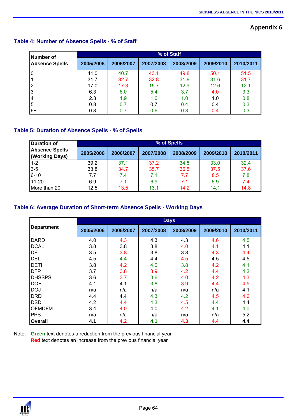| Number of             | % of Staff |           |           |           |           |           |  |
|-----------------------|------------|-----------|-----------|-----------|-----------|-----------|--|
| <b>Absence Spells</b> | 2005/2006  | 2006/2007 | 2007/2008 | 2008/2009 | 2009/2010 | 2010/2011 |  |
| 0                     | 41.0       | 40.7      | 43.1      | 49.8      | 50.1      | 51.5      |  |
|                       | 31.7       | 32.7      | 32.8      | 31.9      | 31.6      | 31.7      |  |
| $\overline{c}$        | 17.0       | 17.3      | 15.7      | 12.9      | 12.6      | 12.1      |  |
| 3                     | 6.3        | 6.0       | 5.4       | 3.7       | 4.0       | 3.3       |  |
| 4                     | 2.3        | 1.9       | 1.6       | 1.0       | 1.0       | 0.8       |  |
| 5                     | 0.8        | 0.7       | 0.7       | 0.4       | 0.4       | 0.3       |  |
| $6+$                  | 0.8        | 0.7       | 0.6       | 0.3       | 0.4       | 0.3       |  |

#### **Table 4: Number of Absence Spells - % of Staff**

### **Table 5: Duration of Absence Spells - % of Spells**

| <b>Duration of</b>                      | % of Spells |           |           |           |           |           |  |
|-----------------------------------------|-------------|-----------|-----------|-----------|-----------|-----------|--|
| <b>Absence Spells</b><br>(Working Days) | 2005/2006   | 2006/2007 | 2007/2008 | 2008/2009 | 2009/2010 | 2010/2011 |  |
| $1 - 2$                                 | 39.2        | 37.1      | 37.2      | 34.5      | 33.0      | 32.4      |  |
| $3-5$                                   | 33.8        | 34.7      | 35.7      | 36.5      | 37.5      | 37.6      |  |
| $6 - 10$                                | 7.7         | 7.4       | 7.1       | 7.7       | 8.5       | 7.8       |  |
| 11-20                                   | 6.9         | 7.1       | 6.9       | 7.1       | 6.9       | 7.4       |  |
| More than 20                            | 12.5        | 13.5      | 13.1      | 14.2      | 14.1      | 14.8      |  |

#### **Table 6: Average Duration of Short-term Absence Spells - Working Days**

|                   | <b>Days</b> |           |           |           |           |           |  |
|-------------------|-------------|-----------|-----------|-----------|-----------|-----------|--|
| <b>Department</b> | 2005/2006   | 2006/2007 | 2007/2008 | 2008/2009 | 2009/2010 | 2010/2011 |  |
| <b>DARD</b>       | 4.0         | 4.3       | 4.3       | 4.3       | 4.6       | 4.5       |  |
| <b>DCAL</b>       | 3.8         | 3.8       | 3.8       | 4.0       | 4.1       | 4.1       |  |
| DE                | 3.5         | 3.8       | 3.8       | 3.8       | 4.3       | 4.4       |  |
| <b>DEL</b>        | 4.5         | 4.4       | 4.4       | 4.5       | 4.5       | 4.5       |  |
| <b>DETI</b>       | 3.8         | 4.2       | 4.0       | 3.8       | 4.2       | 4.1       |  |
| <b>DFP</b>        | 3.7         | 3.8       | 3.9       | 4.2       | 4.4       | 4.2       |  |
| <b>DHSSPS</b>     | 3.6         | 3.7       | 3.6       | 4.0       | 4.2       | 4.3       |  |
| <b>DOE</b>        | 4.1         | 4.1       | 3.8       | 3.9       | 4.4       | 4.5       |  |
| <b>DOJ</b>        | n/a         | n/a       | n/a       | n/a       | n/a       | 4.1       |  |
| <b>DRD</b>        | 4.4         | 4.4       | 4.3       | 4.2       | 4.5       | 4.6       |  |
| <b>DSD</b>        | 4.2         | 4.4       | 4.3       | 4.5       | 4.4       | 4.4       |  |
| <b>OFMDFM</b>     | 3.4         | 4.0       | 4.0       | 4.2       | 4.1       | 4.0       |  |
| <b>PPS</b>        | n/a         | n/a       | n/a       | n/a       | n/a       | 5.2       |  |
| <b>Overall</b>    | 4.1         | 4.2       | 4.1       | 4.3       | 4.4       | 4.4       |  |

Note: **Green** text denotes a reduction from the previous financial year **Red** text denotes an increase from the previous financial year

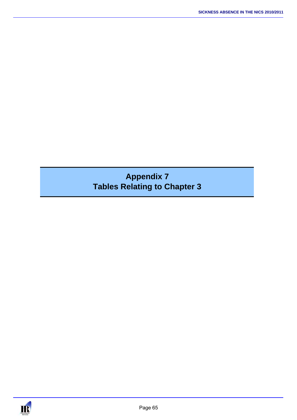# **Appendix 7 Tables Relating to Chapter 3**

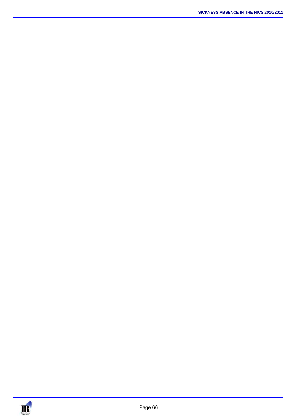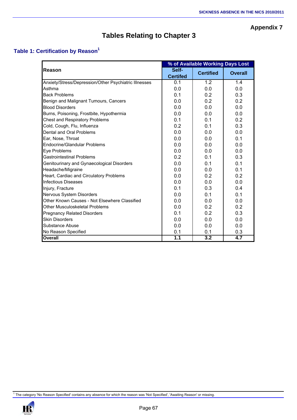# **Tables Relating to Chapter 3**

# **Table 1: Certification by Reason<sup>1</sup>**

|                                                       |                          | % of Available Working Days Lost |                |
|-------------------------------------------------------|--------------------------|----------------------------------|----------------|
| <b>Reason</b>                                         | Self-<br><b>Certifed</b> | <b>Certified</b>                 | <b>Overall</b> |
| Anxiety/Stress/Depression/Other Psychiatric Illnesses | 0.1                      | 1.2                              | 1.4            |
| Asthma                                                | 0.0                      | 0.0                              | 0.0            |
| <b>Back Problems</b>                                  | 0.1                      | 0.2                              | 0.3            |
| Benign and Malignant Tumours, Cancers                 | 0.0                      | 0.2                              | 0.2            |
| <b>Blood Disorders</b>                                | 0.0                      | 0.0                              | 0.0            |
| Burns, Poisoning, Frostbite, Hypothermia              | 0.0                      | 0.0                              | 0.0            |
| <b>Chest and Respiratory Problems</b>                 | 0.1                      | 0.1                              | 0.2            |
| Cold, Cough, Flu, Influenza                           | 0.2                      | 0.1                              | 0.3            |
| Dental and Oral Problems                              | 0.0                      | 0.0                              | 0.0            |
| Ear, Nose, Throat                                     | 0.0                      | 0.0                              | 0.1            |
| Endocrine/Glandular Problems                          | 0.0                      | 0.0                              | 0.0            |
| Eye Problems                                          | 0.0                      | 0.0                              | 0.0            |
| <b>Gastrointestinal Problems</b>                      | 0.2                      | 0.1                              | 0.3            |
| Genitourinary and Gynaecological Disorders            | 0.0                      | 0.1                              | 0.1            |
| Headache/Migraine                                     | 0.0                      | 0.0                              | 0.1            |
| Heart, Cardiac and Circulatory Problems               | 0.0                      | 0.2                              | 0.2            |
| <b>Infectious Diseases</b>                            | 0.0                      | 0.0                              | 0.0            |
| Injury, Fracture                                      | 0.1                      | 0.3                              | 0.4            |
| Nervous System Disorders                              | 0.0                      | 0.1                              | 0.1            |
| Other Known Causes - Not Flsewhere Classified         | 0.0                      | 0.0                              | 0.0            |
| <b>Other Musculoskeletal Problems</b>                 | 0.0                      | 0.2                              | 0.2            |
| <b>Pregnancy Related Disorders</b>                    | 0.1                      | 0.2                              | 0.3            |
| <b>Skin Disorders</b>                                 | 0.0                      | 0.0                              | 0.0            |
| Substance Abuse                                       | 0.0                      | 0.0                              | 0.0            |
| No Reason Specified                                   | 0.1                      | 0.1                              | 0.3            |
| <b>Overall</b>                                        | 1.1                      | 3.2                              | 4.7            |

<sup>1</sup> The category 'No Reason Specified' contains any absence for which the reason was 'Not Specified', 'Awaiting Reason' or missing.

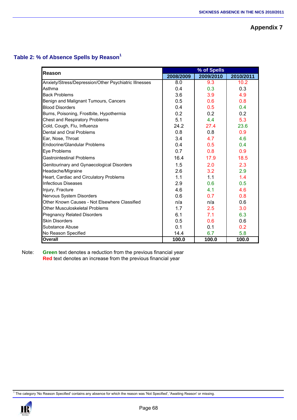|  | Table 2: % of Absence Spells by Reason <sup>1</sup> |  |  |
|--|-----------------------------------------------------|--|--|
|  |                                                     |  |  |

| Reason                                                | % of Spells |           |           |  |
|-------------------------------------------------------|-------------|-----------|-----------|--|
|                                                       | 2008/2009   | 2009/2010 | 2010/2011 |  |
| Anxiety/Stress/Depression/Other Psychiatric Illnesses | 8.0         | 9.3       | 10.2      |  |
| Asthma                                                | 0.4         | 0.3       | 0.3       |  |
| <b>Back Problems</b>                                  | 3.6         | 3.9       | 4.9       |  |
| Benign and Malignant Tumours, Cancers                 | 0.5         | 0.6       | 0.8       |  |
| <b>Blood Disorders</b>                                | 0.4         | 0.5       | 0.4       |  |
| Burns, Poisoning, Frostbite, Hypothermia              | 0.2         | 0.2       | 0.2       |  |
| <b>Chest and Respiratory Problems</b>                 | 5.1         | 4.4       | 5.3       |  |
| Cold, Cough, Flu, Influenza                           | 24.2        | 27.4      | 23.6      |  |
| Dental and Oral Problems                              | 0.8         | 0.8       | 0.9       |  |
| Ear, Nose, Throat                                     | 3.4         | 4.7       | 4.6       |  |
| Endocrine/Glandular Problems                          | 0.4         | 0.5       | 0.4       |  |
| Eye Problems                                          | 0.7         | 0.8       | 0.9       |  |
| <b>Gastrointestinal Problems</b>                      | 16.4        | 17.9      | 18.5      |  |
| Genitourinary and Gynaecological Disorders            | 1.5         | 2.0       | 2.3       |  |
| Headache/Migraine                                     | 2.6         | 3.2       | 2.9       |  |
| Heart, Cardiac and Circulatory Problems               | 1.1         | 1.1       | 1.4       |  |
| <b>Infectious Diseases</b>                            | 2.9         | 0.6       | 0.5       |  |
| Injury, Fracture                                      | 4.6         | 4.1       | 4.6       |  |
| Nervous System Disorders                              | 0.6         | 0.7       | 0.8       |  |
| Other Known Causes - Not Elsewhere Classified         | n/a         | n/a       | 0.6       |  |
| <b>Other Musculoskeletal Problems</b>                 | 1.7         | 2.5       | 3.0       |  |
| <b>Pregnancy Related Disorders</b>                    | 6.1         | 7.1       | 6.3       |  |
| <b>Skin Disorders</b>                                 | 0.5         | 0.6       | 0.6       |  |
| <b>Substance Abuse</b>                                | 0.1         | 0.1       | 0.2       |  |
| No Reason Specified                                   | 14.4        | 6.7       | 5.8       |  |
| <b>Overall</b>                                        | 100.0       | 100.0     | 100.0     |  |

Note: **Green** text denotes a reduction from the previous financial year **Red** text denotes an increase from the previous financial year

<sup>1</sup> The category 'No Reason Specified' contains any absence for which the reason was 'Not Specified', 'Awaiting Reason' or missing.

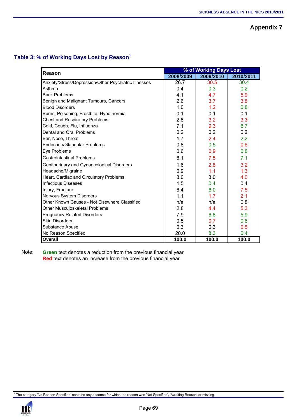|                                                       |           | % of Working Days Lost |           |  |  |
|-------------------------------------------------------|-----------|------------------------|-----------|--|--|
| Reason                                                | 2008/2009 | 2009/2010              | 2010/2011 |  |  |
| Anxiety/Stress/Depression/Other Psychiatric Illnesses | 26.7      | 30.5                   | 30.4      |  |  |
| Asthma                                                | 0.4       | 0.3                    | 0.2       |  |  |
| <b>Back Problems</b>                                  | 4.1       | 4.7                    | 5.9       |  |  |
| Benign and Malignant Tumours, Cancers                 | 2.6       | 3.7                    | 3.8       |  |  |
| <b>Blood Disorders</b>                                | 1.0       | 1.2                    | 0.8       |  |  |
| Burns, Poisoning, Frostbite, Hypothermia              | 0.1       | 0.1                    | 0.1       |  |  |
| <b>Chest and Respiratory Problems</b>                 | 2.8       | 3.2                    | 3.3       |  |  |
| Cold, Cough, Flu, Influenza                           | 7.1       | 9.3                    | 6.7       |  |  |
| Dental and Oral Problems                              | 0.2       | 0.2                    | 0.2       |  |  |
| Ear, Nose, Throat                                     | 1.7       | 2.4                    | 2.2       |  |  |
| <b>Endocrine/Glandular Problems</b>                   | 0.8       | 0.5                    | 0.6       |  |  |
| Eye Problems                                          | 0.6       | 0.9                    | 0.8       |  |  |
| <b>Gastrointestinal Problems</b>                      | 6.1       | 7.5                    | 71        |  |  |
| Genitourinary and Gynaecological Disorders            | 1.6       | 2.8                    | 3.2       |  |  |
| Headache/Migraine                                     | 0.9       | 11                     | 1.3       |  |  |
| Heart, Cardiac and Circulatory Problems               | 3.0       | 3.0                    | 4.0       |  |  |
| Infectious Diseases                                   | 1.5       | 0.4                    | 0.4       |  |  |
| Injury, Fracture                                      | 6.4       | 6.0                    | 7.5       |  |  |
| Nervous System Disorders                              | 1.1       | 1.7                    | 2.1       |  |  |
| Other Known Causes - Not Flsewhere Classified         | n/a       | n/a                    | 0.8       |  |  |
| Other Musculoskeletal Problems                        | 2.8       | 4.4                    | 5.3       |  |  |
| <b>Pregnancy Related Disorders</b>                    | 7.9       | 6.8                    | 5.9       |  |  |
| <b>Skin Disorders</b>                                 | 0.5       | 0.7                    | 0.6       |  |  |
| Substance Abuse                                       | 0.3       | 0.3                    | 0.5       |  |  |
| No Reason Specified                                   | 20.0      | 8.3                    | 6.4       |  |  |
| <b>Overall</b>                                        | 100.0     | 100.0                  | 100.0     |  |  |

### **Table 3: % of Working Days Lost by Reason<sup>1</sup>**

Note: **Green** text denotes a reduction from the previous financial year **Red** text denotes an increase from the previous financial year

<sup>1</sup> The category 'No Reason Specified' contains any absence for which the reason was 'Not Specified', 'Awaiting Reason' or missing.

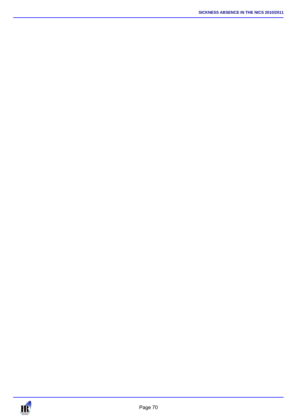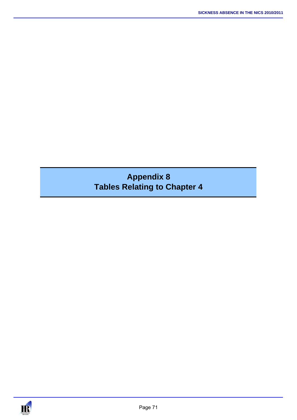# **[Appendix 8](#page-9-0) [Tables Relating to Chapter 4](#page-5-0)**

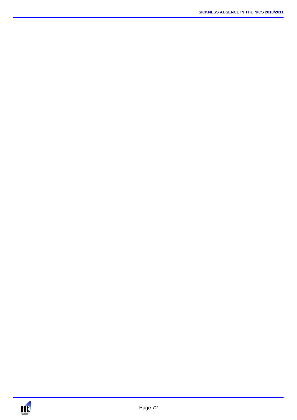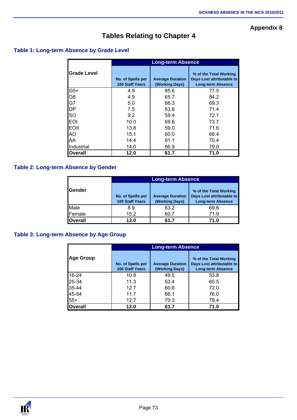# **Tables Relating to Chapter 4**

### **Table 1: Long-term Absence by Grade Level**

|                    | <b>Long-term Absence</b>                    |                                           |                                                                                 |  |  |
|--------------------|---------------------------------------------|-------------------------------------------|---------------------------------------------------------------------------------|--|--|
| <b>Grade Level</b> | No. of Spells per<br><b>100 Staff Years</b> | <b>Average Duration</b><br>(Working Days) | % of the Total Working<br>Days Lost attributable to<br><b>Long-term Absence</b> |  |  |
| $G5+$              | 4.9                                         | 85.6                                      | 77.5                                                                            |  |  |
| G6                 | 4.9                                         | 65.7                                      | 84.2                                                                            |  |  |
| G7                 | 5.0                                         | 66.3                                      | 69.3                                                                            |  |  |
| DP                 | 7.5                                         | 63.6                                      | 71.4                                                                            |  |  |
| SO                 | 9.2                                         | 59.4                                      | 72.1                                                                            |  |  |
| <b>EOI</b>         | 10.0                                        | 69.6                                      | 73.7                                                                            |  |  |
| <b>EOII</b>        | 13.8                                        | 59.0                                      | 71.6                                                                            |  |  |
| AO                 | 15.1                                        | 60.0                                      | 68.4                                                                            |  |  |
| AA                 | 14.4                                        | 61.1                                      | 70.4                                                                            |  |  |
| Industrial         | 14.0                                        | 66.9                                      | 79.0                                                                            |  |  |
| <b>Overall</b>     | 12.0                                        | 61.7                                      | 71.0                                                                            |  |  |

### **Table 2: Long-term Absence by Gender**

|                | <b>Long-term Absence</b>                    |                                           |                                                                                 |  |
|----------------|---------------------------------------------|-------------------------------------------|---------------------------------------------------------------------------------|--|
| <b>Sender</b>  | No. of Spells per<br><b>100 Staff Years</b> | <b>Average Duration</b><br>(Working Days) | % of the Total Working<br>Days Lost attributable to<br><b>Long-term Absence</b> |  |
| Male           | 8.9                                         | 63.2                                      | 69.6                                                                            |  |
| Female         | 15.2                                        | 60.7                                      | 71.9                                                                            |  |
| <b>Overall</b> | 12.0                                        | 61 7                                      | 71.0                                                                            |  |

### **Table 3: Long-term Absence by Age Group**

|                  | <b>Long-term Absence</b>                    |                                           |                                                                                 |  |  |
|------------------|---------------------------------------------|-------------------------------------------|---------------------------------------------------------------------------------|--|--|
| <b>Age Group</b> | No. of Spells per<br><b>100 Staff Years</b> | <b>Average Duration</b><br>(Working Days) | % of the Total Working<br>Days Lost attributable to<br><b>Long-term Absence</b> |  |  |
| 16-24            | 10.8                                        | 49.5                                      | 53.8                                                                            |  |  |
|                  | 11.3                                        | 53.4                                      | 60.5                                                                            |  |  |
| 25-34<br>35-44   | 12.7                                        | 60.6                                      | 72.0                                                                            |  |  |
| 45-54            | 11.7                                        | 66.1                                      | 76.0                                                                            |  |  |
| $55+$            | 12.7                                        | 70.3                                      | 79.4                                                                            |  |  |
| <b>Overall</b>   | 12.0                                        | 61.7                                      | 71.0                                                                            |  |  |

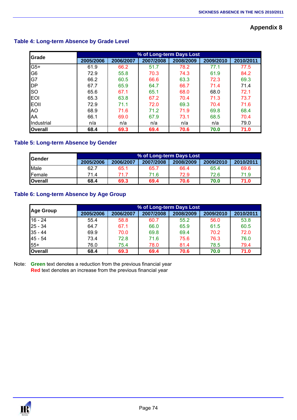| Grade          | % of Long-term Days Lost |           |           |           |           |           |
|----------------|--------------------------|-----------|-----------|-----------|-----------|-----------|
|                | 2005/2006                | 2006/2007 | 2007/2008 | 2008/2009 | 2009/2010 | 2010/2011 |
| $G5+$          | 61.9                     | 66.2      | 51.7      | 78.2      | 77.1      | 77.5      |
| G <sub>6</sub> | 72.9                     | 55.8      | 70.3      | 74.3      | 61.9      | 84.2      |
| G7             | 66.2                     | 60.5      | 66.6      | 63.3      | 72.3      | 69.3      |
| <b>IDP</b>     | 67.7                     | 65.9      | 64.7      | 66.7      | 71.4      | 71.4      |
| <b>SO</b>      | 65.6                     | 67.1      | 65.1      | 68.0      | 68.0      | 72.1      |
| <b>EOI</b>     | 65.3                     | 63.8      | 67.2      | 70.4      | 71.3      | 73.7      |
| <b>EOII</b>    | 72.9                     | 71.1      | 72.0      | 69.3      | 70.4      | 71.6      |
| <b>AO</b>      | 68.9                     | 71.6      | 71.2      | 71.9      | 69.8      | 68.4      |
| AA             | 66.1                     | 69.0      | 67.9      | 73.1      | 68.5      | 70.4      |
| Industrial     | n/a                      | n/a       | n/a       | n/a       | n/a       | 79.0      |
| <b>Overall</b> | 68.4                     | 69.3      | 69.4      | 70.6      | 70.0      | 71.0      |

#### **Table 4: Long-term Absence by Grade Level**

#### **Table 5: Long-term Absence by Gender**

| Gender         | <b>% of Long-term Days Lost</b> |           |           |           |           |           |
|----------------|---------------------------------|-----------|-----------|-----------|-----------|-----------|
|                | 2005/2006                       | 2006/2007 | 2007/2008 | 2008/2009 | 2009/2010 | 2010/2011 |
| Male           | 62.7                            | 65.1      | 65.7      | 66.4      | 65.4      | 69.6      |
| Female         | 71.4                            | 71.7      | 71.6      | 72.9      | 72.6      | 71.9      |
| <b>Overall</b> | 68.4                            | 69.3      | 69.4      | 70.6      | 70.0      | 71.0      |

## **Table 6: Long-term Absence by Age Group**

| <b>Age Group</b> | % of Long-term Days Lost |           |           |           |           |           |
|------------------|--------------------------|-----------|-----------|-----------|-----------|-----------|
|                  | 2005/2006                | 2006/2007 | 2007/2008 | 2008/2009 | 2009/2010 | 2010/2011 |
| $16 - 24$        | 55.4                     | 58.8      | 60.7      | 55.2      | 56.0      | 53.8      |
| $25 - 34$        | 64.7                     | 67.1      | 66.0      | 65.9      | 61.5      | 60.5      |
| $35 - 44$        | 69.9                     | 70.0      | 69.8      | 69.4      | 70.2      | 72.0      |
| $45 - 54$        | 73.4                     | 72.8      | 71.6      | 75.6      | 76.3      | 76.0      |
| $55+$            | 76.0                     | 75.4      | 78.0      | 81.4      | 78.5      | 79.4      |
| <b>Overall</b>   | 68.4                     | 69.3      | 69.4      | 70.6      | 70.0      | 71.0      |

Note: **Green** text denotes a reduction from the previous financial year **Red** text denotes an increase from the previous financial year

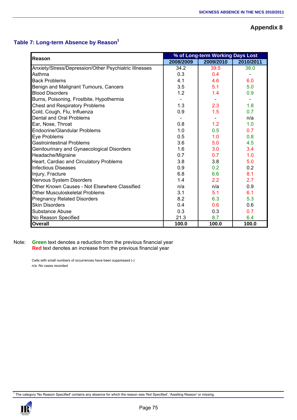### **Table 7: Long-term Absence by Reason<sup>1</sup>**

| Reason                                                |           | % of Long-term Working Days Lost |           |  |  |
|-------------------------------------------------------|-----------|----------------------------------|-----------|--|--|
|                                                       | 2008/2009 | 2009/2010                        | 2010/2011 |  |  |
| Anxiety/Stress/Depression/Other Psychiatric Illnesses | 34.2      | 39.5                             | 38.0      |  |  |
| Asthma                                                | 0.3       | 0.4                              |           |  |  |
| <b>Back Problems</b>                                  | 4.1       | 4.6                              | 6.0       |  |  |
| Benign and Malignant Tumours, Cancers                 | 3.5       | 5.1                              | 5.0       |  |  |
| <b>Blood Disorders</b>                                | 1.2       | 1.4                              | 0.9       |  |  |
| Burns, Poisoning, Frostbite, Hypothermia              |           |                                  |           |  |  |
| <b>Chest and Respiratory Problems</b>                 | 1.3       | 2.3                              | 1.8       |  |  |
| Cold, Cough, Flu, Influenza                           | 0.9       | 1.5                              | 0.7       |  |  |
| Dental and Oral Problems                              |           |                                  | n/a       |  |  |
| Ear, Nose, Throat                                     | 0.8       | 1.2                              | 1.0       |  |  |
| <b>Endocrine/Glandular Problems</b>                   | 1.0       | 0.5                              | 0.7       |  |  |
| Eye Problems                                          | 0.5       | 1.0                              | 0.8       |  |  |
| <b>Gastrointestinal Problems</b>                      | 3.6       | 5.0                              | 4.5       |  |  |
| Genitourinary and Gynaecological Disorders            | 1.6       | 3.0                              | 3.4       |  |  |
| Headache/Migraine                                     | 0.7       | 0.7                              | 1.0       |  |  |
| Heart, Cardiac and Circulatory Problems               | 3.8       | 3.8                              | 5.0       |  |  |
| <b>Infectious Diseases</b>                            | 0.9       | 0.2                              | 0.2       |  |  |
| Injury, Fracture                                      | 6.8       | 6.6                              | 8.1       |  |  |
| Nervous System Disorders                              | 1.4       | 2.2                              | 2.7       |  |  |
| Other Known Causes - Not Elsewhere Classified         | n/a       | n/a                              | 0.9       |  |  |
| <b>Other Musculoskeletal Problems</b>                 | 3.1       | 5.1                              | 6.1       |  |  |
| <b>Pregnancy Related Disorders</b>                    | 8.2       | 6.3                              | 5.3       |  |  |
| <b>Skin Disorders</b>                                 | 0.4       | 0.6                              | 0.6       |  |  |
| Substance Abuse                                       | 0.3       | 0.3                              | 0.7       |  |  |
| No Reason Specified                                   | 21.3      | 8.7                              | 6.4       |  |  |
| <b>Overall</b>                                        | 100.0     | 100.0                            | 100.0     |  |  |

Note: Green text denotes a reduction from the previous financial year **Red** text denotes an increase from the previous financial year

> Cells with small numbers of occurrences have been suppressed (-) n/a: No cases recorded

<sup>1</sup> The category 'No Reason Specified' contains any absence for which the reason was 'Not Specified', 'Awaiting Reason' or missing.

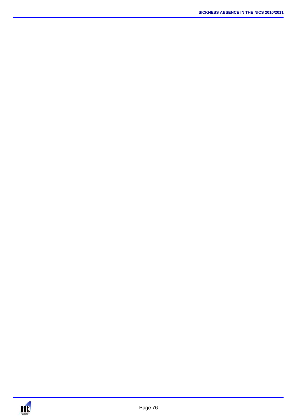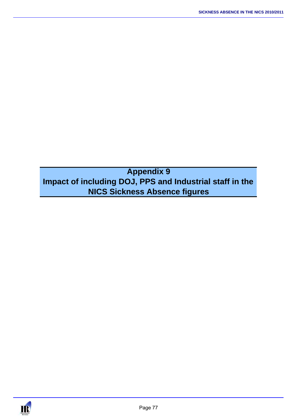## **Appendix 9 Impact of including DOJ, PPS and Industrial staff in the NICS Sickness Absence figures** and the state of the state of the state of the state of the state of the state of the state of the state of th

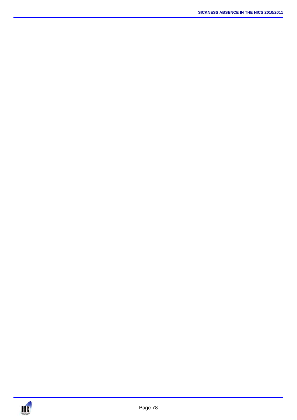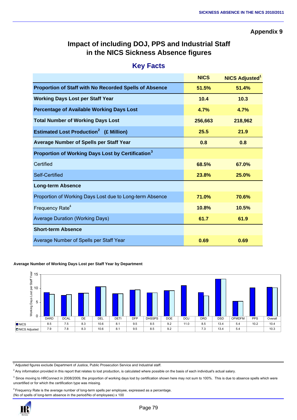# **Impact of including DOJ, PPS and Industrial Staff in the NICS Sickness Absence figures**

## **Key Facts**

|                                                               | <b>NICS</b> | <b>NICS Adjusted</b> <sup>1</sup> |
|---------------------------------------------------------------|-------------|-----------------------------------|
| Proportion of Staff with No Recorded Spells of Absence        | 51.5%       | 51.4%                             |
| <b>Working Days Lost per Staff Year</b>                       | 10.4        | 10.3                              |
| <b>Percentage of Available Working Days Lost</b>              | 4.7%        | 4.7%                              |
| <b>Total Number of Working Days Lost</b>                      | 256,663     | 218,962                           |
| <b>Estimated Lost Production<sup>2</sup></b> (£ Million)      | 25.5        | 21.9                              |
| Average Number of Spells per Staff Year                       | 0.8         | 0.8                               |
| Proportion of Working Days Lost by Certification <sup>3</sup> |             |                                   |
| Certified                                                     | 68.5%       | 67.0%                             |
| <b>Self-Certified</b>                                         | 23.8%       | 25.0%                             |
| <b>Long-term Absence</b>                                      |             |                                   |
| Proportion of Working Days Lost due to Long-term Absence      | 71.0%       | 70.6%                             |
| Frequency Rate <sup>4</sup>                                   | 10.8%       | 10.5%                             |
| <b>Average Duration (Working Days)</b>                        | 61.7        | 61.9                              |
| <b>Short-term Absence</b>                                     |             |                                   |
| Average Number of Spells per Staff Year                       | 0.69        | 0.69                              |

#### **Average Number of Working Days Lost per Staff Year by Department**



<sup>1</sup> Adjusted figures exclude Department of Justice, Public Prosecution Service and Industrial staff.

<sup>2</sup> Any information provided in this report that relates to lost production, is calculated where possible on the basis of each individual's actual salary.

 $^3$  Since moving to HRConnect in 2008/2009, the proportion of working days lost by certification shown here may not sum to 100%. This is due to absence spells which were uncertified or for which the certification type was missing.

4 Frequency Rate is the average number of long-term spells per employee, expressed as a percentage. (No of spells of long-term absence in the period/No of employees) x 100

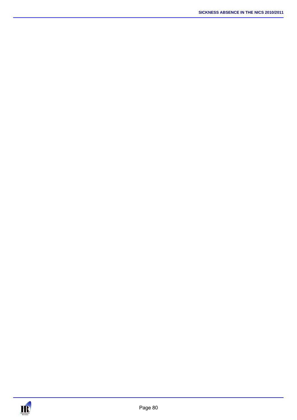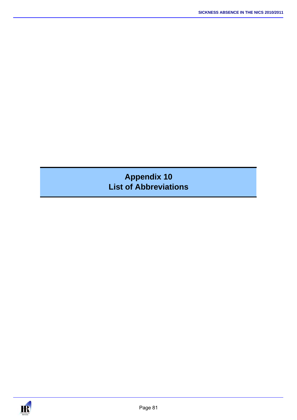# **[Appendix 10](#page-11-0) List of Abbreviations**

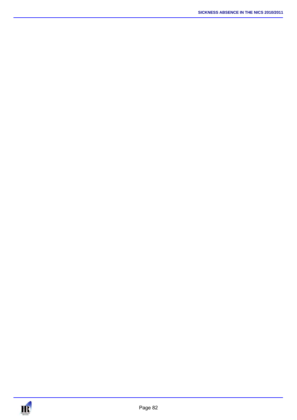